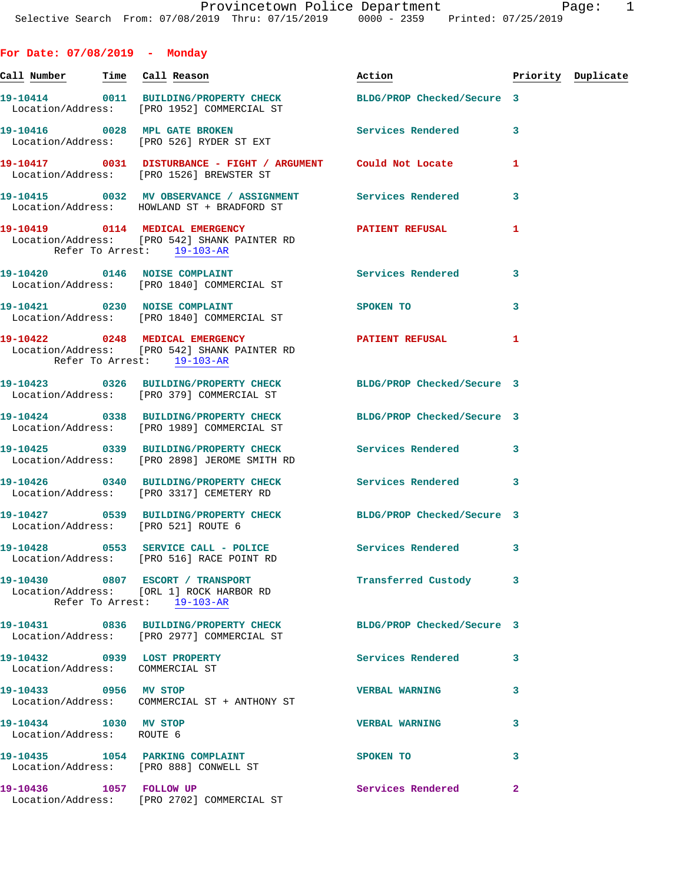| For Date: $07/08/2019$ - Monday                                |                                                                                                                |                                  |              |  |
|----------------------------------------------------------------|----------------------------------------------------------------------------------------------------------------|----------------------------------|--------------|--|
| Call Number Time Call Reason                                   |                                                                                                                | Action <b>Priority</b> Duplicate |              |  |
|                                                                | 19-10414 0011 BUILDING/PROPERTY CHECK BLDG/PROP Checked/Secure 3<br>Location/Address: [PRO 1952] COMMERCIAL ST |                                  |              |  |
|                                                                | 19-10416 0028 MPL GATE BROKEN<br>Location/Address: [PRO 526] RYDER ST EXT                                      | Services Rendered 3              |              |  |
|                                                                | 19-10417 0031 DISTURBANCE - FIGHT / ARGUMENT Could Not Locate<br>Location/Address: [PRO 1526] BREWSTER ST      |                                  | 1            |  |
|                                                                | 19-10415 0032 MV OBSERVANCE / ASSIGNMENT Services Rendered<br>Location/Address: HOWLAND ST + BRADFORD ST       |                                  | 3            |  |
| Refer To Arrest: 19-103-AR                                     | Location/Address: [PRO 542] SHANK PAINTER RD                                                                   |                                  | $\mathbf{1}$ |  |
|                                                                | 19-10420 0146 NOISE COMPLAINT<br>Location/Address: [PRO 1840] COMMERCIAL ST                                    | Services Rendered                | 3            |  |
|                                                                | 19-10421 0230 NOISE COMPLAINT<br>Location/Address: [PRO 1840] COMMERCIAL ST                                    | SPOKEN TO                        | 3            |  |
| Refer To Arrest: 19-103-AR                                     | 19-10422 0248 MEDICAL EMERGENCY<br>Location/Address: [PRO 542] SHANK PAINTER RD                                | PATIENT REFUSAL 1                |              |  |
|                                                                | 19-10423 0326 BUILDING/PROPERTY CHECK BLDG/PROP Checked/Secure 3<br>Location/Address: [PRO 379] COMMERCIAL ST  |                                  |              |  |
|                                                                | 19-10424 0338 BUILDING/PROPERTY CHECK BLDG/PROP Checked/Secure 3<br>Location/Address: [PRO 1989] COMMERCIAL ST |                                  |              |  |
|                                                                | 19-10425 0339 BUILDING/PROPERTY CHECK Services Rendered 3<br>Location/Address: [PRO 2898] JEROME SMITH RD      |                                  |              |  |
|                                                                | 19-10426 0340 BUILDING/PROPERTY CHECK Services Rendered 3<br>Location/Address: [PRO 3317] CEMETERY RD          |                                  |              |  |
| Location/Address: [PRO 521] ROUTE 6                            | 19-10427 0539 BUILDING/PROPERTY CHECK BLDG/PROP Checked/Secure 3                                               |                                  |              |  |
|                                                                | 19-10428 0553 SERVICE CALL - POLICE<br>Location/Address: [PRO 516] RACE POINT RD                               | Services Rendered 3              |              |  |
|                                                                | 19-10430 0807 ESCORT / TRANSPORT<br>Location/Address: [ORL 1] ROCK HARBOR RD<br>Refer To Arrest: 19-103-AR     | Transferred Custody 3            |              |  |
|                                                                | 19-10431 0836 BUILDING/PROPERTY CHECK BLDG/PROP Checked/Secure 3<br>Location/Address: [PRO 2977] COMMERCIAL ST |                                  |              |  |
| 19-10432 0939 LOST PROPERTY<br>Location/Address: COMMERCIAL ST |                                                                                                                | Services Rendered                | 3            |  |
| 19-10433 0956 MV STOP                                          | Location/Address: COMMERCIAL ST + ANTHONY ST                                                                   | <b>VERBAL WARNING</b>            | 3            |  |
| 19-10434 1030 MV STOP<br>Location/Address: ROUTE 6             |                                                                                                                | <b>VERBAL WARNING</b>            | 3            |  |
|                                                                | 19-10435 1054 PARKING COMPLAINT<br>Location/Address: [PRO 888] CONWELL ST                                      | SPOKEN TO                        | 3            |  |
|                                                                | 19-10436    1057    FOLLOW UP<br>Location/Address: [PRO 2702] COMMERCIAL ST                                    | Services Rendered                | $\mathbf{2}$ |  |
|                                                                |                                                                                                                |                                  |              |  |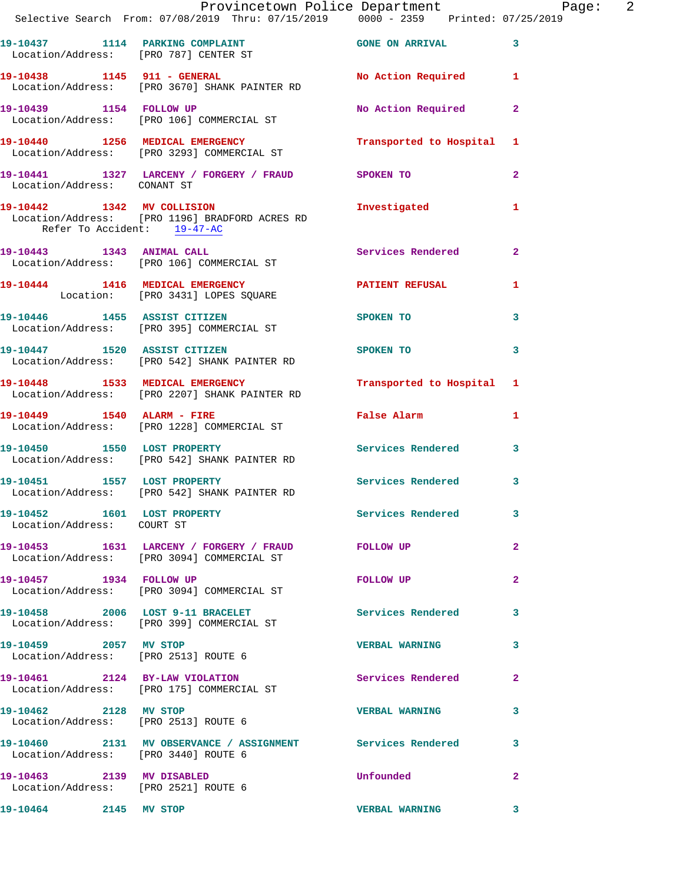|                             | Provincetown Police Department Page: 2<br>Selective Search From: 07/08/2019 Thru: 07/15/2019   0000 - 2359   Printed: 07/25/2019 |                                             |              |  |
|-----------------------------|----------------------------------------------------------------------------------------------------------------------------------|---------------------------------------------|--------------|--|
|                             | 19-10437 1114 PARKING COMPLAINT 600 GONE ON ARRIVAL 3<br>Location/Address: [PRO 787] CENTER ST                                   |                                             |              |  |
|                             | 19-10438 1145 911 - GENERAL No Action Required 1<br>Location/Address: [PRO 3670] SHANK PAINTER RD                                |                                             |              |  |
|                             | 19-10439 1154 FOLLOW UP<br>Location/Address: [PRO 106] COMMERCIAL ST                                                             | No Action Required                          | $\mathbf{2}$ |  |
|                             | 19-10440   1256   MEDICAL EMERGENCY   Transported to Hospital 1<br>Location/Address: [PRO 3293] COMMERCIAL ST                    |                                             |              |  |
|                             | 19-10441 1327 LARCENY / FORGERY / FRAUD SPOKEN TO<br>Location/Address: CONANT ST                                                 |                                             | $\mathbf{2}$ |  |
| Refer To Accident: 19-47-AC | 19-10442 1342 MV COLLISION<br>Location/Address: [PRO 1196] BRADFORD ACRES RD                                                     | Investigated                                | $\mathbf{1}$ |  |
|                             | 19-10443 1343 ANIMAL CALL<br>Location/Address: [PRO 106] COMMERCIAL ST                                                           | Services Rendered 2                         |              |  |
|                             | 19-10444 1416 MEDICAL EMERGENCY <b>A PATIENT REFUSAL</b><br>Location: [PRO 3431] LOPES SQUARE                                    |                                             | 1            |  |
|                             | 19-10446 1455 ASSIST CITIZEN<br>Location/Address: [PRO 395] COMMERCIAL ST                                                        | SPOKEN TO                                   | 3            |  |
|                             | 19-10447 1520 ASSIST CITIZEN<br>Location/Address: [PRO 542] SHANK PAINTER RD                                                     | SPOKEN TO                                   | 3            |  |
|                             | 19-10448 1533 MEDICAL EMERGENCY<br>Location/Address: [PRO 2207] SHANK PAINTER RD                                                 | Transported to Hospital 1                   |              |  |
|                             | 19-10449 1540 ALARM - FIRE<br>Location/Address: [PRO 1228] COMMERCIAL ST                                                         | False Alarm <b>Exercise Service Service</b> | 1            |  |
|                             | 19-10450 1550 LOST PROPERTY<br>Location/Address: [PRO 542] SHANK PAINTER RD                                                      | <b>Services Rendered</b>                    | 3            |  |
|                             | 19-10451 1557 LOST PROPERTY<br>Location/Address: [PRO 542] SHANK PAINTER RD                                                      | Services Rendered 3                         |              |  |
| Location/Address: COURT ST  | 19-10452 1601 LOST PROPERTY                                                                                                      | Services Rendered 3                         |              |  |
|                             | 19-10453 1631 LARCENY / FORGERY / FRAUD FOLLOW UP<br>Location/Address: [PRO 3094] COMMERCIAL ST                                  |                                             | $\mathbf{2}$ |  |
| 19-10457 1934 FOLLOW UP     | Location/Address: [PRO 3094] COMMERCIAL ST                                                                                       | FOLLOW UP                                   | $\mathbf{2}$ |  |
|                             | 19-10458 2006 LOST 9-11 BRACELET Services Rendered 3<br>Location/Address: [PRO 399] COMMERCIAL ST                                |                                             |              |  |
| 19-10459 2057 MV STOP       | Location/Address: [PRO 2513] ROUTE 6                                                                                             | <b>VERBAL WARNING</b>                       | 3            |  |
|                             | 19-10461 2124 BY-LAW VIOLATION<br>Location/Address: [PRO 175] COMMERCIAL ST                                                      | Services Rendered                           | $\mathbf{2}$ |  |
| 19-10462 2128 MV STOP       | Location/Address: [PRO 2513] ROUTE 6                                                                                             | <b>VERBAL WARNING</b>                       | 3            |  |
|                             | 19-10460 2131 MV OBSERVANCE / ASSIGNMENT Services Rendered 3<br>Location/Address: [PRO 3440] ROUTE 6                             |                                             |              |  |
| 19-10463 2139 MV DISABLED   | Location/Address: [PRO 2521] ROUTE 6                                                                                             | Unfounded                                   | $\mathbf{2}$ |  |
| 19-10464 2145 MV STOP       |                                                                                                                                  | <b>VERBAL WARNING</b>                       | 3            |  |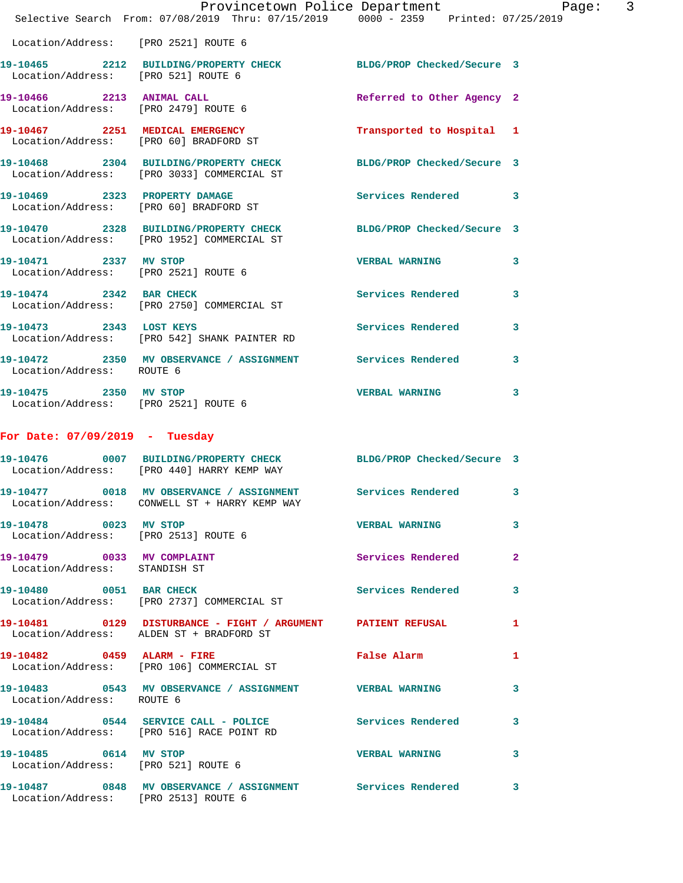|                                                               | Provincetown Police Department<br>Selective Search From: 07/08/2019 Thru: 07/15/2019   0000 - 2359   Printed: 07/25/2019 |                                             | Page: 3                 |
|---------------------------------------------------------------|--------------------------------------------------------------------------------------------------------------------------|---------------------------------------------|-------------------------|
| Location/Address: [PRO 2521] ROUTE 6                          |                                                                                                                          |                                             |                         |
| Location/Address: [PRO 521] ROUTE 6                           | 19-10465 2212 BUILDING/PROPERTY CHECK BLDG/PROP Checked/Secure 3                                                         |                                             |                         |
| Location/Address: [PRO 2479] ROUTE 6                          | 19-10466 2213 ANIMAL CALL                                                                                                | Referred to Other Agency 2                  |                         |
|                                                               | 19-10467 2251 MEDICAL EMERGENCY<br>Location/Address: [PRO 60] BRADFORD ST                                                | Transported to Hospital 1                   |                         |
|                                                               | 19-10468 2304 BUILDING/PROPERTY CHECK BLDG/PROP Checked/Secure 3<br>Location/Address: [PRO 3033] COMMERCIAL ST           |                                             |                         |
|                                                               | 19-10469 2323 PROPERTY DAMAGE<br>Location/Address: [PRO 60] BRADFORD ST                                                  | Services Rendered 3                         |                         |
|                                                               | 19-10470 2328 BUILDING/PROPERTY CHECK BLDG/PROP Checked/Secure 3<br>Location/Address: [PRO 1952] COMMERCIAL ST           |                                             |                         |
| 19-10471 2337 MV STOP<br>Location/Address: [PRO 2521] ROUTE 6 |                                                                                                                          | <b>VERBAL WARNING</b>                       | $\overline{\mathbf{3}}$ |
|                                                               | 19-10474 2342 BAR CHECK<br>Location/Address: [PRO 2750] COMMERCIAL ST                                                    | Services Rendered 3                         |                         |
| 19-10473 2343 LOST KEYS                                       | Location/Address: [PRO 542] SHANK PAINTER RD                                                                             | <b>Services Rendered</b>                    | 3                       |
| Location/Address: ROUTE 6                                     | 19-10472 2350 MV OBSERVANCE / ASSIGNMENT Services Rendered 3                                                             |                                             |                         |
| 19-10475 2350 MV STOP<br>Location/Address: [PRO 2521] ROUTE 6 |                                                                                                                          | <b>VERBAL WARNING</b>                       | 3                       |
| For Date: $07/09/2019$ - Tuesday                              |                                                                                                                          |                                             |                         |
|                                                               | 19-10476 0007 BUILDING/PROPERTY CHECK BLDG/PROP Checked/Secure 3<br>Location/Address: [PRO 440] HARRY KEMP WAY           |                                             |                         |
|                                                               | 19-10477 0018 MV OBSERVANCE / ASSIGNMENT Services Rendered 3<br>Location/Address: CONWELL ST + HARRY KEMP WAY            |                                             |                         |
| 19-10478 0023 MV STOP<br>Location/Address: [PRO 2513] ROUTE 6 |                                                                                                                          | <b>VERBAL WARNING</b>                       | 3                       |
| 19-10479 0033 MV COMPLAINT<br>Location/Address: STANDISH ST   |                                                                                                                          | Services Rendered 2                         |                         |
|                                                               | 19-10480 0051 BAR CHECK<br>Location/Address: [PRO 2737] COMMERCIAL ST                                                    | Services Rendered 3                         |                         |
|                                                               | 19-10481 0129 DISTURBANCE - FIGHT / ARGUMENT PATIENT REFUSAL<br>Location/Address: ALDEN ST + BRADFORD ST                 |                                             | $\mathbf{1}$            |
|                                                               | 19-10482 0459 ALARM - FIRE<br>Location/Address: [PRO 106] COMMERCIAL ST                                                  | False Alarm <b>Exercise Service Service</b> | 1                       |
| Location/Address: ROUTE 6                                     | 19-10483 6543 MV OBSERVANCE / ASSIGNMENT WERBAL WARNING                                                                  |                                             | $\mathbf{3}$            |
|                                                               | 19-10484  0544 SERVICE CALL - POLICE  Services Rendered  3<br>Location/Address: [PRO 516] RACE POINT RD                  |                                             |                         |
| 19-10485 0614 MV STOP                                         | Location/Address: [PRO 521] ROUTE 6                                                                                      | VERBAL WARNING 3                            |                         |
| Location/Address: [PRO 2513] ROUTE 6                          | 19-10487 0848 MV OBSERVANCE / ASSIGNMENT Services Rendered 3                                                             |                                             |                         |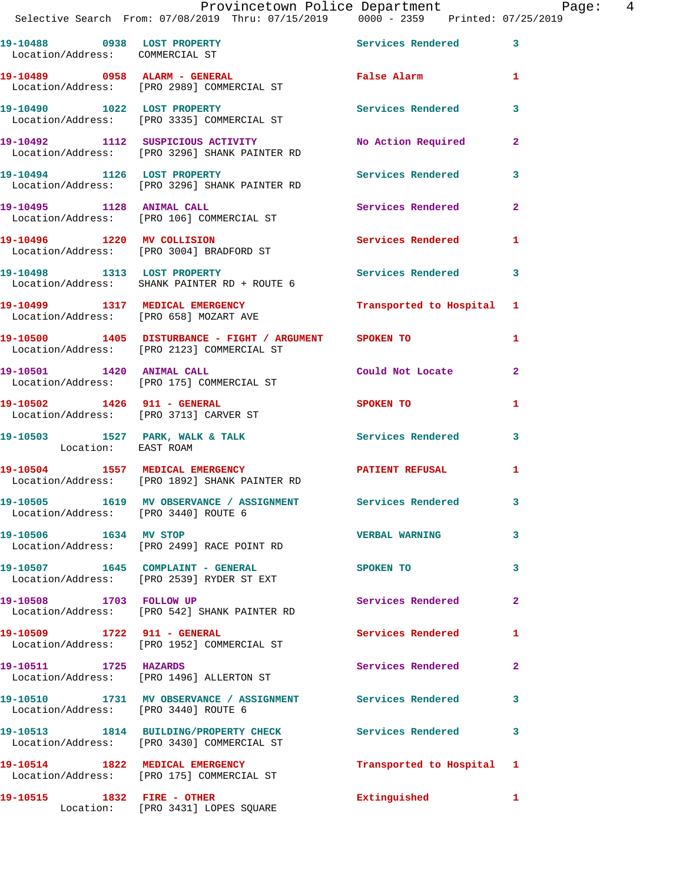**19-10489 0958 ALARM - GENERAL False Alarm 1**  Location/Address: [PRO 2989] COMMERCIAL ST

**19-10490 1022 LOST PROPERTY Services Rendered 3**  Location/Address: [PRO 3335] COMMERCIAL ST

**19-10494 1126 LOST PROPERTY Services Rendered 3** 

**19-10495 1128 ANIMAL CALL Services Rendered 2** 

Location/Address: [PRO 2123] COMMERCIAL ST

Location/Address: [PRO 3713] CARVER ST

Location/Address: [PRO 3440] ROUTE 6

Location/Address: [PRO 2499] RACE POINT RD

Location/Address: [PRO 3440] ROUTE 6

**19-10492 1112 SUSPICIOUS ACTIVITY No Action Required 2**  Location/Address: [PRO 3296] SHANK PAINTER RD

Location/Address: [PRO 3296] SHANK PAINTER RD

Location/Address: [PRO 106] COMMERCIAL ST

**19-10496 1220 MV COLLISION Services Rendered 1**  Location/Address: [PRO 3004] BRADFORD ST

**19-10498 1313 LOST PROPERTY Services Rendered 3**  Location/Address: SHANK PAINTER RD + ROUTE 6

**19-10499 1317 MEDICAL EMERGENCY Transported to Hospital 1**  Location/Address: [PRO 658] MOZART AVE

**19-10500 1405 DISTURBANCE - FIGHT / ARGUMENT SPOKEN TO 1** 

**19-10501 1420 ANIMAL CALL Could Not Locate 2**  Location/Address: [PRO 175] COMMERCIAL ST

**19-10502 1426 911 - GENERAL SPOKEN TO 1** 

19-10503 1527 PARK, WALK & TALK **Services Rendered** 3 Location: EAST ROAM

**19-10504 1557 MEDICAL EMERGENCY PATIENT REFUSAL 1**  Location/Address: [PRO 1892] SHANK PAINTER RD

**19-10505 1619 MV OBSERVANCE / ASSIGNMENT Services Rendered 3** 

**19-10506 1634 MV STOP VERBAL WARNING 3** 

**19-10507 1645 COMPLAINT - GENERAL SPOKEN TO 3**  Location/Address: [PRO 2539] RYDER ST EXT

19-10508 1703 FOLLOW UP **19-10508** Services Rendered 2 Location/Address: [PRO 542] SHANK PAINTER RD

**19-10509 1722 911 - GENERAL Services Rendered 1**  Location/Address: [PRO 1952] COMMERCIAL ST

**19-10511 1725 HAZARDS Services Rendered 2**  Location/Address: [PRO 1496] ALLERTON ST

**19-10510 1731 MV OBSERVANCE / ASSIGNMENT Services Rendered 3** 

**19-10513 1814 BUILDING/PROPERTY CHECK Services Rendered 3**  Location/Address: [PRO 3430] COMMERCIAL ST

**19-10514 1822 MEDICAL EMERGENCY Transported to Hospital 1**  Location/Address: [PRO 175] COMMERCIAL ST

**19-10515 1832 FIRE - OTHER Extinguished 1**  Location: [PRO 3431] LOPES SQUARE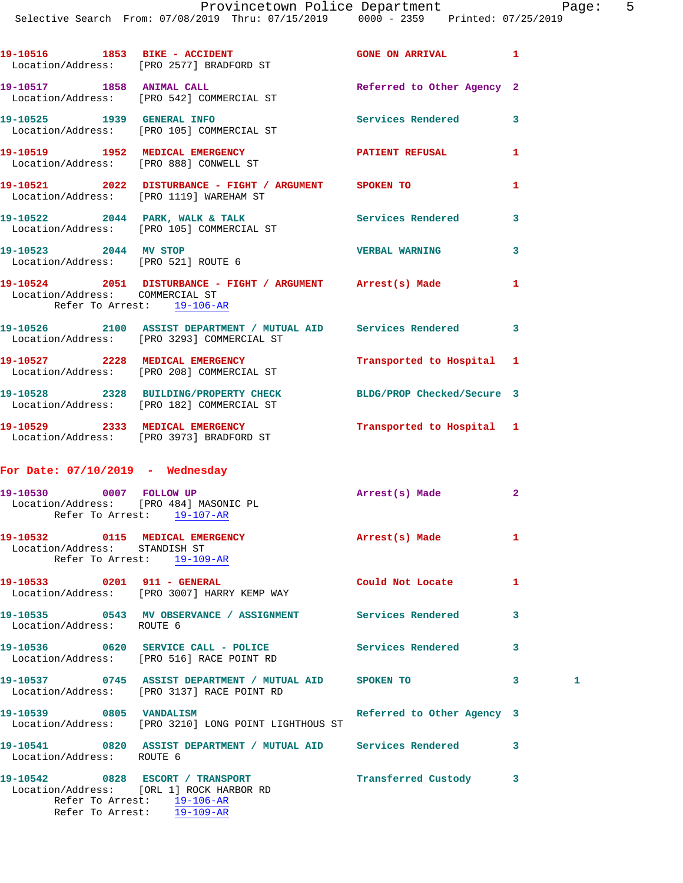| 19–10516 | 1853 | BIKE - ACCIDENT<br>Location/Address: [PRO 2577] BRADFORD ST      | <b>GONE ON ARRIVAL</b>     |   |
|----------|------|------------------------------------------------------------------|----------------------------|---|
| 19-10517 | 1858 | <b>ANIMAL CALL</b><br>Location/Address: [PRO 542] COMMERCIAL ST  | Referred to Other Agency 2 |   |
| 19-10525 | 1939 | <b>GENERAL INFO</b><br>Location/Address: [PRO 105] COMMERCIAL ST | Services Rendered          | 3 |

**19-10519 1952 MEDICAL EMERGENCY PATIENT REFUSAL 1**  Location/Address: [PRO 888] CONWELL ST **19-10521 2022 DISTURBANCE - FIGHT / ARGUMENT SPOKEN TO 1**  Location/Address: [PRO 1119] WAREHAM ST

19-10522 2044 PARK, WALK & TALK 3 Services Rendered 3 Location/Address: [PRO 105] COMMERCIAL ST **19-10523 2044 MV STOP VERBAL WARNING 3** 

Location/Address: [PRO 521] ROUTE 6

**19-10524 2051 DISTURBANCE - FIGHT / ARGUMENT Arrest(s) Made 1**  Location/Address: COMMERCIAL ST Refer To Arrest: 19-106-AR

- **19-10526 2100 ASSIST DEPARTMENT / MUTUAL AID Services Rendered 3**  Location/Address: [PRO 3293] COMMERCIAL ST
- **19-10527 2228 MEDICAL EMERGENCY Transported to Hospital 1**  Location/Address: [PRO 208] COMMERCIAL ST **19-10528 2328 BUILDING/PROPERTY CHECK BLDG/PROP Checked/Secure 3**
- Location/Address: [PRO 182] COMMERCIAL ST **19-10529 2333 MEDICAL EMERGENCY Transported to Hospital 1**  Location/Address: [PRO 3973] BRADFORD ST

## **For Date: 07/10/2019 - Wednesday**

|                               | Location/Address: [PRO 484] MASONIC PL<br>Refer To Arrest: 19-107-AR | Arrest(s) Made    | $\overline{2}$ |   |
|-------------------------------|----------------------------------------------------------------------|-------------------|----------------|---|
| Location/Address: STANDISH ST | 19-10532 0115 MEDICAL EMERGENCY<br>Refer To Arrest: 19-109-AR        | Arrest(s) Made    |                |   |
| 19-10533 0201 911 - GENERAL   | Location/Address: [PRO 3007] HARRY KEMP WAY                          | Could Not Locate  |                |   |
| Location/Address: ROUTE 6     |                                                                      | Services Rendered | 3              |   |
|                               | Location/Address: [PRO 516] RACE POINT RD                            | Services Rendered | 3              |   |
|                               | Location/Address: [PRO 3137] RACE POINT RD                           | <b>SPOKEN TO</b>  | 3              | 1 |

## **19-10539 0805 VANDALISM Referred to Other Agency 3**  Location/Address: [PRO 3210] LONG POINT LIGHTHOUS ST **19-10541 0820 ASSIST DEPARTMENT / MUTUAL AID Services Rendered 3**

Location/Address: ROUTE 6

**19-10542 0828 ESCORT / TRANSPORT Transferred Custody 3**  Location/Address: [ORL 1] ROCK HARBOR RD Refer To Arrest: 19-106-AR Refer To Arrest: 19-109-AR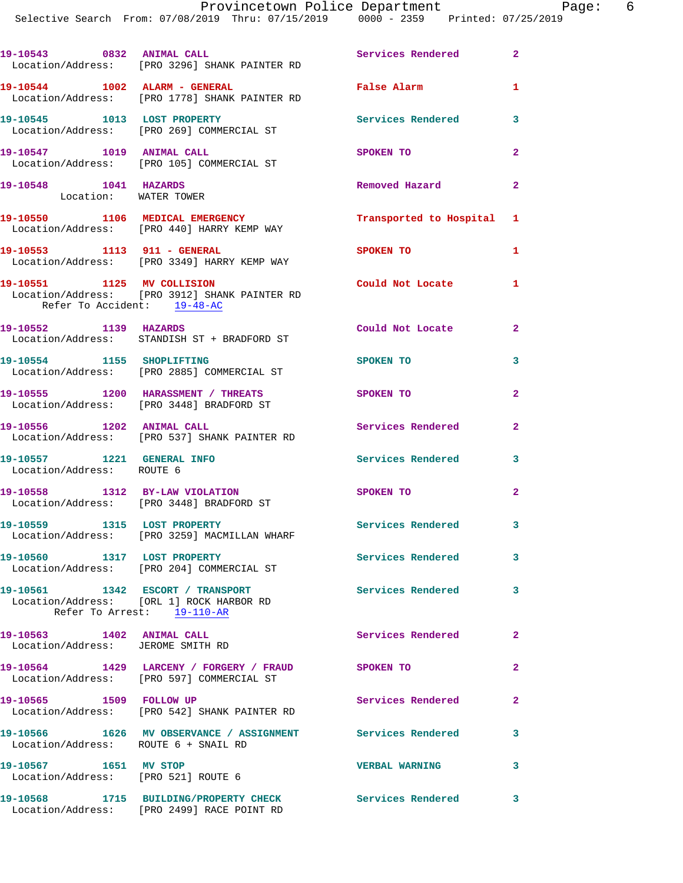| 19-10543 0832 ANIMAL CALL                                      | Location/Address: [PRO 3296] SHANK PAINTER RD                                                              | Services Rendered 2       |                         |
|----------------------------------------------------------------|------------------------------------------------------------------------------------------------------------|---------------------------|-------------------------|
| 19-10544 1002 ALARM - GENERAL                                  | Location/Address: [PRO 1778] SHANK PAINTER RD                                                              | False Alarm 1             |                         |
|                                                                | 19-10545 1013 LOST PROPERTY<br>  Location/Address: [PRO 269] COMMERCIAL ST                                 | Services Rendered         | $\overline{\mathbf{3}}$ |
| 19-10547 1019 ANIMAL CALL                                      | Location/Address: [PRO 105] COMMERCIAL ST                                                                  | SPOKEN TO                 | $\overline{2}$          |
| 19-10548 1041 HAZARDS<br>Location: WATER TOWER                 |                                                                                                            | Removed Hazard            | $\overline{a}$          |
|                                                                | 19-10550 1106 MEDICAL EMERGENCY<br>Location/Address: [PRO 440] HARRY KEMP WAY                              | Transported to Hospital 1 |                         |
| 19-10553 1113 911 - GENERAL                                    | Location/Address: [PRO 3349] HARRY KEMP WAY                                                                | <b>SPOKEN TO</b>          | 1                       |
| Refer To Accident: 19-48-AC                                    | 19-10551 1125 MV COLLISION<br>Location/Address: [PRO 3912] SHANK PAINTER RD                                | Could Not Locate 1        |                         |
| 19-10552 1139 HAZARDS                                          | Location/Address: STANDISH ST + BRADFORD ST                                                                | Could Not Locate          | $\mathbf{2}$            |
| 19-10554 1155 SHOPLIFTING                                      | Location/Address: [PRO 2885] COMMERCIAL ST                                                                 | SPOKEN TO                 | 3                       |
|                                                                | 19-10555 1200 HARASSMENT / THREATS<br>Location/Address: [PRO 3448] BRADFORD ST                             | SPOKEN TO                 | $\overline{a}$          |
|                                                                | 19-10556 1202 ANIMAL CALL<br>Location/Address: [PRO 537] SHANK PAINTER RD                                  | Services Rendered         | $\overline{a}$          |
| 19-10557 1221 GENERAL INFO<br>Location/Address: ROUTE 6        |                                                                                                            | Services Rendered         | 3                       |
|                                                                | 19-10558 1312 BY-LAW VIOLATION<br>Location/Address: [PRO 3448] BRADFORD ST                                 | SPOKEN TO                 | $\overline{a}$          |
|                                                                | 19-10559 1315 LOST PROPERTY<br>Location/Address: [PRO 3259] MACMILLAN WHARF                                | Services Rendered 3       |                         |
|                                                                | 19-10560 1317 LOST PROPERTY<br>Location/Address: [PRO 204] COMMERCIAL ST                                   | <b>Services Rendered</b>  | 3                       |
|                                                                | 19-10561 1342 ESCORT / TRANSPORT<br>Location/Address: [ORL 1] ROCK HARBOR RD<br>Refer To Arrest: 19-110-AR | <b>Services Rendered</b>  | 3                       |
| 19-10563 1402 ANIMAL CALL<br>Location/Address: JEROME SMITH RD |                                                                                                            | Services Rendered         | $\mathbf{2}$            |
|                                                                | 19-10564 1429 LARCENY / FORGERY / FRAUD<br>Location/Address: [PRO 597] COMMERCIAL ST                       | <b>SPOKEN TO</b>          | $\mathbf{2}$            |
| 19-10565 1509 FOLLOW UP                                        | Location/Address: [PRO 542] SHANK PAINTER RD                                                               | Services Rendered         | $\overline{a}$          |
| Location/Address: ROUTE 6 + SNAIL RD                           | 19-10566 1626 MV OBSERVANCE / ASSIGNMENT Services Rendered                                                 |                           | 3                       |
| 19-10567 1651 MV STOP<br>Location/Address: [PRO 521] ROUTE 6   |                                                                                                            | <b>VERBAL WARNING</b>     | 3                       |
|                                                                | 19-10568 1715 BUILDING/PROPERTY CHECK<br>Location/Address: [PRO 2499] RACE POINT RD                        | Services Rendered         | 3                       |
|                                                                |                                                                                                            |                           |                         |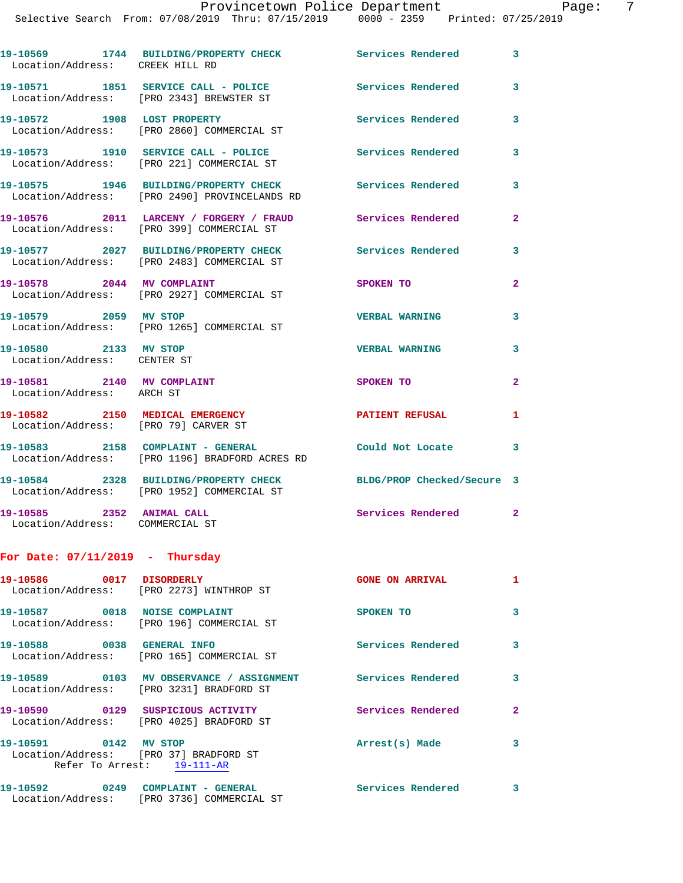| Printed: 07/25/2019<br>ch From: 07/08/2019 Thru: 07/15/2019<br>0000 - 2359 |  |  | Provincetown Police Department |  |  |
|----------------------------------------------------------------------------|--|--|--------------------------------|--|--|
|                                                                            |  |  |                                |  |  |

| Location/Address: CREEK HILL RD                                         | 19-10569 1744 BUILDING/PROPERTY CHECK Services Rendered 3                              |                            |                |
|-------------------------------------------------------------------------|----------------------------------------------------------------------------------------|----------------------------|----------------|
|                                                                         | 19-10571 1851 SERVICE CALL - POLICE<br>Location/Address: [PRO 2343] BREWSTER ST        | Services Rendered          | 3              |
| 19-10572 1908 LOST PROPERTY                                             | Location/Address: [PRO 2860] COMMERCIAL ST                                             | Services Rendered          | 3              |
|                                                                         | 19-10573 1910 SERVICE CALL - POLICE<br>Location/Address: [PRO 221] COMMERCIAL ST       | <b>Services Rendered</b>   | 3              |
|                                                                         | 19-10575 1946 BUILDING/PROPERTY CHECK<br>Location/Address: [PRO 2490] PROVINCELANDS RD | <b>Services Rendered</b>   | 3              |
|                                                                         | 19-10576 2011 LARCENY / FORGERY / FRAUD<br>Location/Address: [PRO 399] COMMERCIAL ST   | Services Rendered          | $\overline{a}$ |
|                                                                         | 19-10577 2027 BUILDING/PROPERTY CHECK<br>Location/Address: [PRO 2483] COMMERCIAL ST    | <b>Services Rendered</b>   | 3              |
| 19-10578 2044 MV COMPLAINT                                              | Location/Address: [PRO 2927] COMMERCIAL ST                                             | SPOKEN TO                  | $\overline{2}$ |
| 19-10579 2059 MV STOP                                                   | Location/Address: [PRO 1265] COMMERCIAL ST                                             | <b>VERBAL WARNING</b>      | 3              |
| 19-10580 2133 MV STOP<br>Location/Address: CENTER ST                    |                                                                                        | <b>VERBAL WARNING</b>      | 3              |
| 19-10581 2140 MV COMPLAINT<br>Location/Address: ARCH ST                 |                                                                                        | SPOKEN TO                  | $\overline{2}$ |
| 19-10582 2150 MEDICAL EMERGENCY<br>Location/Address: [PRO 79] CARVER ST |                                                                                        | <b>PATIENT REFUSAL</b>     | 1              |
| 19-10583 2158 COMPLAINT - GENERAL                                       | Location/Address: [PRO 1196] BRADFORD ACRES RD                                         | Could Not Locate           | 3              |
|                                                                         | 19-10584 2328 BUILDING/PROPERTY CHECK<br>Location/Address: [PRO 1952] COMMERCIAL ST    | BLDG/PROP Checked/Secure 3 |                |
| 19-10585 2352 ANIMAL CALL<br>Location/Address: COMMERCIAL ST            |                                                                                        | Services Rendered 2        |                |
| For Date: $07/11/2019$ - Thursday                                       |                                                                                        |                            |                |
| 19-10586 0017 DISORDERLY                                                | Location/Address: [PRO 2273] WINTHROP ST                                               | <b>GONE ON ARRIVAL</b>     | $\blacksquare$ |

19-10587 0018 NOISE COMPLAINT SPOKEN TO 3 Location/Address: [PRO 196] COMMERCIAL ST **19-10588 0038 GENERAL INFO Services Rendered 3**  Location/Address: [PRO 165] COMMERCIAL ST 19-10589 **0103 MV OBSERVANCE / ASSIGNMENT** Services Rendered 3 Location/Address: [PRO 3231] BRADFORD ST 19-10590 0129 SUSPICIOUS ACTIVITY **Services Rendered** 2 Location/Address: [PRO 4025] BRADFORD ST **19-10591 0142 MV STOP Arrest(s) Made 3**  Location/Address: [PRO 37] BRADFORD ST Refer To Arrest: 19-111-AR 19-10592 0249 COMPLAINT - GENERAL **Services Rendered** 3 Location/Address: [PRO 3736] COMMERCIAL ST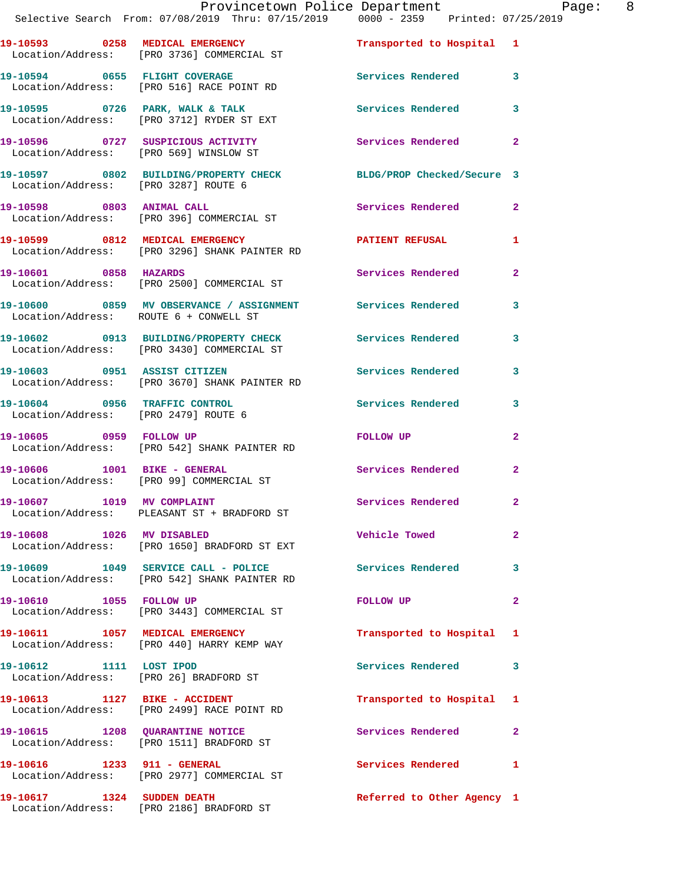|                             | Provincetown Police Department<br>Selective Search From: 07/08/2019 Thru: 07/15/2019   0000 - 2359   Printed: 07/25/2019 |                            |                |
|-----------------------------|--------------------------------------------------------------------------------------------------------------------------|----------------------------|----------------|
|                             | 19-10593 0258 MEDICAL EMERGENCY<br>Location/Address: [PRO 3736] COMMERCIAL ST                                            | Transported to Hospital 1  |                |
|                             | 19-10594 0655 FLIGHT COVERAGE<br>Location/Address: [PRO 516] RACE POINT RD                                               | Services Rendered 3        |                |
|                             | 19-10595 0726 PARK, WALK & TALK<br>Location/Address: [PRO 3712] RYDER ST EXT                                             | <b>Services Rendered</b>   | 3              |
|                             | 19-10596 0727 SUSPICIOUS ACTIVITY<br>Location/Address: [PRO 569] WINSLOW ST                                              | Services Rendered          | $\mathbf{2}$   |
|                             | 19-10597 0802 BUILDING/PROPERTY CHECK BLDG/PROP Checked/Secure 3<br>Location/Address: [PRO 3287] ROUTE 6                 |                            |                |
|                             | 19-10598 0803 ANIMAL CALL<br>Location/Address: [PRO 396] COMMERCIAL ST                                                   | Services Rendered          | $\mathbf{2}$   |
|                             | 19-10599 0812 MEDICAL EMERGENCY<br>Location/Address: [PRO 3296] SHANK PAINTER RD                                         | PATIENT REFUSAL            | 1              |
| 19-10601 0858 HAZARDS       | Location/Address: [PRO 2500] COMMERCIAL ST                                                                               | Services Rendered          | $\mathbf{2}$   |
|                             | 19-10600 0859 MV OBSERVANCE / ASSIGNMENT Services Rendered<br>Location/Address: ROUTE 6 + CONWELL ST                     |                            | 3              |
|                             | 19-10602 0913 BUILDING/PROPERTY CHECK<br>Location/Address: [PRO 3430] COMMERCIAL ST                                      | Services Rendered          | 3              |
|                             | 19-10603 0951 ASSIST CITIZEN<br>Location/Address: [PRO 3670] SHANK PAINTER RD                                            | <b>Services Rendered</b>   | 3              |
|                             | 19-10604 0956 TRAFFIC CONTROL<br>Location/Address: [PRO 2479] ROUTE 6                                                    | <b>Services Rendered</b>   | 3              |
| 19-10605 0959 FOLLOW UP     | Location/Address: [PRO 542] SHANK PAINTER RD                                                                             | FOLLOW UP                  | $\mathbf{2}$   |
|                             | 19-10606 1001 BIKE - GENERAL<br>Location/Address: [PRO 99] COMMERCIAL ST                                                 | <b>Services Rendered</b>   | $\mathbf{2}$   |
| 19-10607 1019 MV COMPLAINT  | Location/Address: PLEASANT ST + BRADFORD ST                                                                              | Services Rendered          |                |
| 19-10608 1026 MV DISABLED   | Location/Address: [PRO 1650] BRADFORD ST EXT                                                                             | Vehicle Towed              | $\overline{2}$ |
|                             | 19-10609 1049 SERVICE CALL - POLICE<br>Location/Address: [PRO 542] SHANK PAINTER RD                                      | <b>Services Rendered</b>   | 3              |
| 19-10610 1055 FOLLOW UP     | Location/Address: [PRO 3443] COMMERCIAL ST                                                                               | FOLLOW UP                  | $\mathbf{2}$   |
|                             | 19-10611 1057 MEDICAL EMERGENCY<br>Location/Address: [PRO 440] HARRY KEMP WAY                                            | Transported to Hospital 1  |                |
| 19-10612 1111 LOST IPOD     | Location/Address: [PRO 26] BRADFORD ST                                                                                   | Services Rendered          | 3              |
|                             | 19-10613 1127 BIKE - ACCIDENT<br>Location/Address: [PRO 2499] RACE POINT RD                                              | Transported to Hospital 1  |                |
|                             | 19-10615 1208 QUARANTINE NOTICE<br>Location/Address: [PRO 1511] BRADFORD ST                                              | Services Rendered          | $\mathbf{2}$   |
| 19-10616 1233 911 - GENERAL | Location/Address: [PRO 2977] COMMERCIAL ST                                                                               | Services Rendered 1        |                |
| 19-10617 1324 SUDDEN DEATH  |                                                                                                                          | Referred to Other Agency 1 |                |

Location/Address: [PRO 2186] BRADFORD ST

Page: 8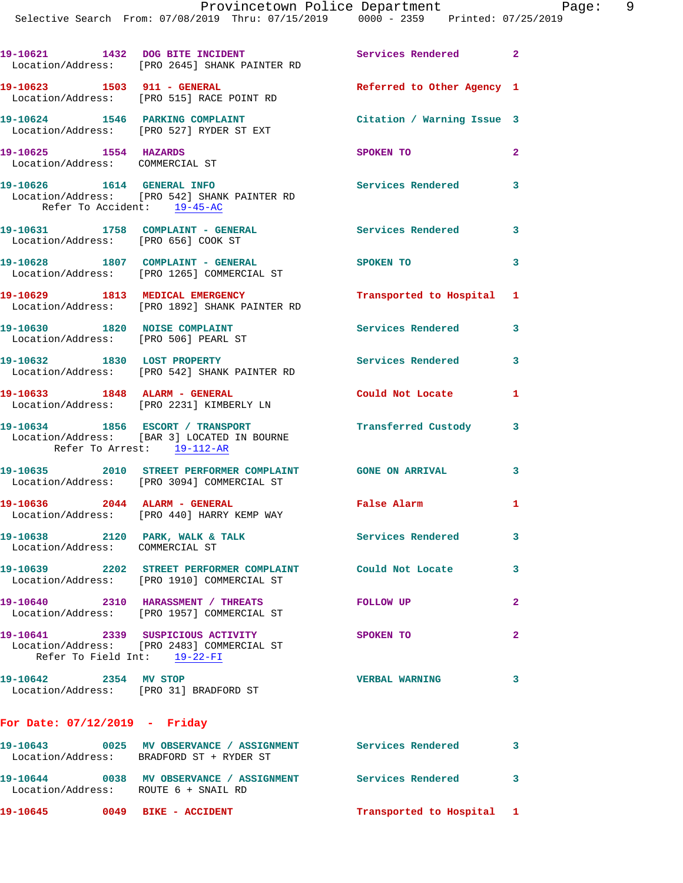19-10621 1432 DOG BITE INCIDENT Services Rendered 2 Location/Address: [PRO 2645] SHANK PAINTER RD **19-10623 1503 911 - GENERAL Referred to Other Agency 1**  Location/Address: [PRO 515] RACE POINT RD **19-10624 1546 PARKING COMPLAINT Citation / Warning Issue 3**  Location/Address: [PRO 527] RYDER ST EXT **19-10625 1554 HAZARDS SPOKEN TO 2**  Location/Address: COMMERCIAL ST **19-10626 1614 GENERAL INFO Services Rendered 3**  Location/Address: [PRO 542] SHANK PAINTER RD Refer To Accident: 19-45-AC 19-10631 1758 COMPLAINT - GENERAL **Services Rendered** 3 Location/Address: [PRO 656] COOK ST **19-10628 1807 COMPLAINT - GENERAL SPOKEN TO 3**  Location/Address: [PRO 1265] COMMERCIAL ST **19-10629 1813 MEDICAL EMERGENCY Transported to Hospital 1**  Location/Address: [PRO 1892] SHANK PAINTER RD 19-10630 1820 NOISE COMPLAINT **1820 Services Rendered** 3 Location/Address: [PRO 506] PEARL ST **19-10632 1830 LOST PROPERTY Services Rendered 3**  Location/Address: [PRO 542] SHANK PAINTER RD **19-10633 1848 ALARM - GENERAL Could Not Locate 1**  Location/Address: [PRO 2231] KIMBERLY LN **19-10634 1856 ESCORT / TRANSPORT Transferred Custody 3**  Location/Address: [BAR 3] LOCATED IN BOURNE Refer To Arrest: 19-112-AR **19-10635 2010 STREET PERFORMER COMPLAINT GONE ON ARRIVAL 3**  Location/Address: [PRO 3094] COMMERCIAL ST **19-10636 2044 ALARM - GENERAL False Alarm 1**  Location/Address: [PRO 440] HARRY KEMP WAY 19-10638 2120 PARK, WALK & TALK 3 Services Rendered 3 Location/Address: COMMERCIAL ST **19-10639 2202 STREET PERFORMER COMPLAINT Could Not Locate 3**  Location/Address: [PRO 1910] COMMERCIAL ST **19-10640 2310 HARASSMENT / THREATS FOLLOW UP 2** 

 Location/Address: [PRO 1957] COMMERCIAL ST **19-10641 2339 SUSPICIOUS ACTIVITY SPOKEN TO 2**  Location/Address: [PRO 2483] COMMERCIAL ST Refer To Field Int: 19-22-FI

**19-10642 2354 MV STOP VERBAL WARNING 3**  Location/Address: [PRO 31] BRADFORD ST

## **For Date: 07/12/2019 - Friday**

| 19-10645                      | 0049 | BIKE - ACCIDENT                                      | Transported to Hospital |  |
|-------------------------------|------|------------------------------------------------------|-------------------------|--|
| 19–10644<br>Location/Address: | 0038 | MV OBSERVANCE / ASSIGNMENT<br>ROUTE 6 + SNAIL RD     | Services Rendered       |  |
| 19–10643<br>Location/Address: | 0025 | MV OBSERVANCE / ASSIGNMENT<br>BRADFORD ST + RYDER ST | Services Rendered       |  |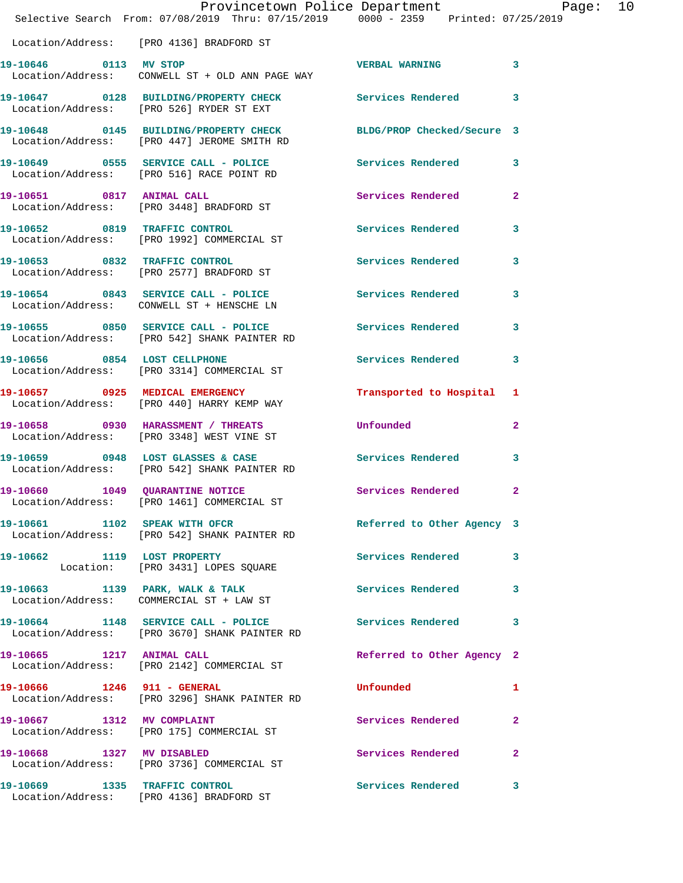|                           | Provincetown Police Department Page: 10<br>Selective Search From: 07/08/2019 Thru: 07/15/2019   0000 - 2359   Printed: 07/25/2019 |                            |              |
|---------------------------|-----------------------------------------------------------------------------------------------------------------------------------|----------------------------|--------------|
|                           | Location/Address: [PRO 4136] BRADFORD ST                                                                                          |                            |              |
| 19-10646 0113 MV STOP     | Location/Address: CONWELL ST + OLD ANN PAGE WAY                                                                                   | VERBAL WARNING 3           |              |
|                           | 19-10647 0128 BUILDING/PROPERTY CHECK Services Rendered 3<br>Location/Address: [PRO 526] RYDER ST EXT                             |                            |              |
|                           | 19-10648 0145 BUILDING/PROPERTY CHECK BLDG/PROP Checked/Secure 3<br>Location/Address: [PRO 447] JEROME SMITH RD                   |                            |              |
|                           | 19-10649 0555 SERVICE CALL - POLICE Services Rendered 3<br>Location/Address: [PRO 516] RACE POINT RD                              |                            |              |
| 19-10651 0817 ANIMAL CALL | Location/Address: [PRO 3448] BRADFORD ST                                                                                          | Services Rendered 2        |              |
|                           | 19-10652 0819 TRAFFIC CONTROL<br>Location/Address: [PRO 1992] COMMERCIAL ST                                                       | Services Rendered 3        |              |
|                           | 19-10653 0832 TRAFFIC CONTROL<br>Location/Address: [PRO 2577] BRADFORD ST                                                         | Services Rendered 3        |              |
|                           | 19-10654 0843 SERVICE CALL - POLICE<br>Location/Address: CONWELL ST + HENSCHE LN                                                  | Services Rendered          | $\mathbf{3}$ |
|                           | 19-10655 0850 SERVICE CALL - POLICE Services Rendered<br>Location/Address: [PRO 542] SHANK PAINTER RD                             |                            | $\mathbf{3}$ |
|                           | 19-10656 0854 LOST CELLPHONE<br>Location/Address: [PRO 3314] COMMERCIAL ST                                                        | Services Rendered 3        |              |
|                           | 19-10657 0925 MEDICAL EMERGENCY<br>Location/Address: [PRO 440] HARRY KEMP WAY                                                     | Transported to Hospital 1  |              |
|                           | 19-10658 0930 HARASSMENT / THREATS<br>Location/Address: [PRO 3348] WEST VINE ST                                                   | <b>Unfounded</b>           | $\mathbf{2}$ |
|                           | 19-10659 0948 LOST GLASSES & CASE<br>Location/Address: [PRO 542] SHANK PAINTER RD                                                 | <b>Services Rendered</b>   | 3            |
|                           | 19-10660 1049 QUARANTINE NOTICE Services Rendered 2<br>Location/Address: [PRO 1461] COMMERCIAL ST                                 |                            |              |
|                           | 19-10661 1102 SPEAK WITH OFCR Referred to Other Agency 3<br>Location/Address: [PRO 542] SHANK PAINTER RD                          |                            |              |
|                           | 19-10662 1119 LOST PROPERTY<br>Location: [PRO 3431] LOPES SQUARE                                                                  | Services Rendered 3        |              |
|                           | 19-10663 1139 PARK, WALK & TALK<br>Location/Address: COMMERCIAL ST + LAW ST                                                       | Services Rendered 3        |              |
|                           | 19-10664 1148 SERVICE CALL - POLICE<br>Location/Address: [PRO 3670] SHANK PAINTER RD                                              | Services Rendered 3        |              |
|                           | 19-10665 1217 ANIMAL CALL<br>Location/Address: [PRO 2142] COMMERCIAL ST                                                           | Referred to Other Agency 2 |              |
|                           | 19-10666 1246 911 - GENERAL<br>Location/Address: [PRO 3296] SHANK PAINTER RD                                                      | Unfounded                  | 1            |
|                           | 19-10667 1312 MV COMPLAINT<br>Location/Address: [PRO 175] COMMERCIAL ST                                                           | Services Rendered 2        |              |
| 19-10668 1327 MV DISABLED | Location/Address: [PRO 3736] COMMERCIAL ST                                                                                        | Services Rendered 2        |              |
|                           | 19-10669 1335 TRAFFIC CONTROL<br>Location/Address: [PRO 4136] BRADFORD ST                                                         | Services Rendered 3        |              |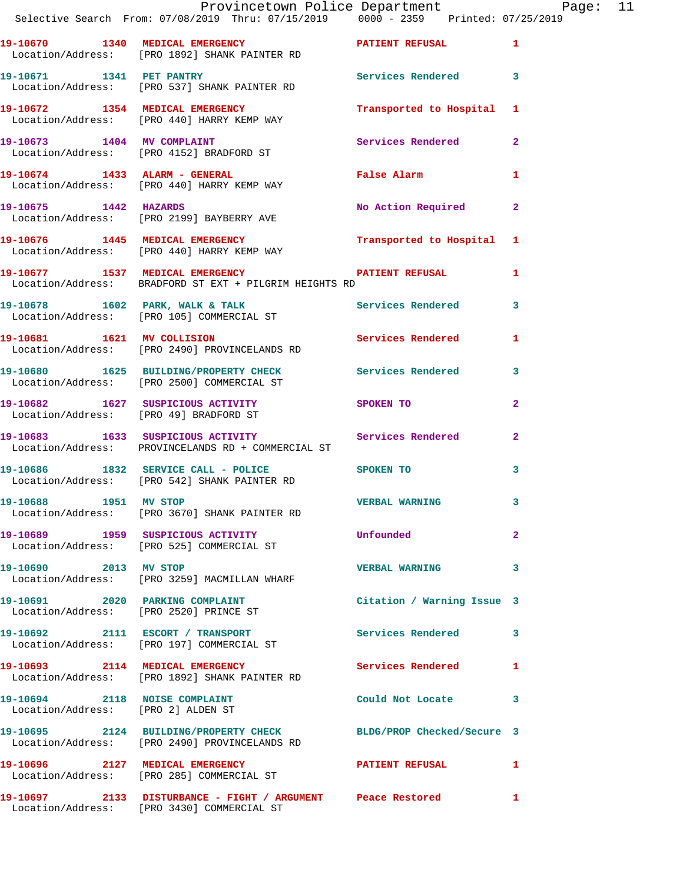|                                    | Provincetown Police Department The Page: 11<br>Selective Search From: 07/08/2019 Thru: 07/15/2019                0000 - 2359   Printed: 07/25/2019 |                             |              |  |
|------------------------------------|----------------------------------------------------------------------------------------------------------------------------------------------------|-----------------------------|--------------|--|
|                                    | 19-10670 1340 MEDICAL EMERGENCY PATIENT REFUSAL 1<br>Location/Address: [PRO 1892] SHANK PAINTER RD                                                 |                             |              |  |
|                                    | 19-10671 1341 PET PANTRY 19-10671 Services Rendered 3<br>Location/Address: [PRO 537] SHANK PAINTER RD                                              |                             |              |  |
|                                    | 19-10672 1354 MEDICAL EMERGENCY Transported to Hospital 1 Location/Address: [PRO 440] HARRY KEMP WAY                                               |                             |              |  |
|                                    | 19-10673 1404 MV COMPLAINT Services Rendered 2<br>Location/Address: [PRO 4152] BRADFORD ST                                                         |                             |              |  |
|                                    | 19-10674 1433 ALARM - GENERAL<br>Location/Address: [PRO 440] HARRY KEMP WAY                                                                        | False Alarm                 | $\mathbf{1}$ |  |
|                                    | 19-10675 1442 HAZARDS<br>Location/Address: [PRO 2199] BAYBERRY AVE                                                                                 | No Action Required 2        |              |  |
|                                    | 19-10676 1445 MEDICAL EMERGENCY Transported to Hospital 1<br>Location/Address: [PRO 440] HARRY KEMP WAY                                            |                             |              |  |
|                                    | 19-10677 1537 MEDICAL EMERGENCY PATIENT REFUSAL 1<br>Location/Address: BRADFORD ST EXT + PILGRIM HEIGHTS RD                                        |                             |              |  |
|                                    | 19-10678 1602 PARK, WALK & TALK ST Services Rendered 3<br>Location/Address: [PRO 105] COMMERCIAL ST                                                |                             |              |  |
|                                    | 19-10681 1621 MV COLLISION 5ervices Rendered 1<br>Location/Address: [PRO 2490] PROVINCELANDS RD                                                    |                             |              |  |
|                                    | 19-10680 1625 BUILDING/PROPERTY CHECK Services Rendered 3<br>Location/Address: [PRO 2500] COMMERCIAL ST                                            |                             |              |  |
|                                    | 19-10682 1627 SUSPICIOUS ACTIVITY<br>Location/Address: [PRO 49] BRADFORD ST                                                                        | SPOKEN TO AND THE SPOKEN TO | $\mathbf{2}$ |  |
|                                    | 19-10683 1633 SUSPICIOUS ACTIVITY 1999 Services Rendered 2<br>Location/Address: PROVINCELANDS RD + COMMERCIAL ST                                   |                             |              |  |
|                                    | 19-10686 1832 SERVICE CALL - POLICE SPOKEN TO<br>Location/Address: [PRO 542] SHANK PAINTER RD                                                      |                             | $\mathbf{3}$ |  |
| 19-10688 1951 MV STOP              | Location/Address: [PRO 3670] SHANK PAINTER RD                                                                                                      | <b>VERBAL WARNING</b>       |              |  |
|                                    | 19-10689 1959 SUSPICIOUS ACTIVITY<br>Location/Address: [PRO 525] COMMERCIAL ST                                                                     | Unfounded                   | $\mathbf{2}$ |  |
| 19-10690 2013 MV STOP              | Location/Address: [PRO 3259] MACMILLAN WHARF                                                                                                       | VERBAL WARNING 3            |              |  |
|                                    | 19-10691 2020 PARKING COMPLAINT<br>Location/Address: [PRO 2520] PRINCE ST                                                                          | Citation / Warning Issue 3  |              |  |
|                                    | 19-10692 2111 ESCORT / TRANSPORT<br>Location/Address: [PRO 197] COMMERCIAL ST                                                                      | Services Rendered 3         |              |  |
|                                    | 19-10693 2114 MEDICAL EMERGENCY<br>Location/Address: [PRO 1892] SHANK PAINTER RD                                                                   | Services Rendered           | 1            |  |
| Location/Address: [PRO 2] ALDEN ST | 19-10694 2118 NOISE COMPLAINT                                                                                                                      | Could Not Locate 3          |              |  |
|                                    | 19-10695 2124 BUILDING/PROPERTY CHECK BLDG/PROP Checked/Secure 3<br>Location/Address: [PRO 2490] PROVINCELANDS RD                                  |                             |              |  |
|                                    | 19-10696 2127 MEDICAL EMERGENCY<br>Location/Address: [PRO 285] COMMERCIAL ST                                                                       | PATIENT REFUSAL             | $\mathbf{1}$ |  |
|                                    | 19-10697 2133 DISTURBANCE - FIGHT / ARGUMENT Peace Restored<br>Location/Address: [PRO 3430] COMMERCIAL ST                                          |                             | 1            |  |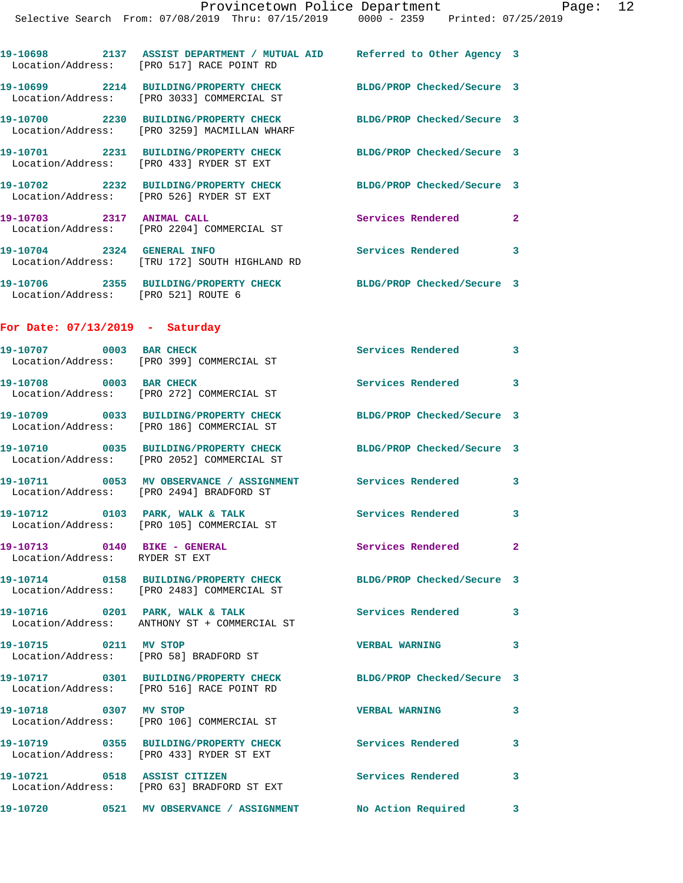| 19-10698<br>2137<br>Location/Address: | ASSIST DEPARTMENT / MUTUAL AID<br>[PRO 517] RACE POINT RD    | Referred to Other Agency 3 |  |
|---------------------------------------|--------------------------------------------------------------|----------------------------|--|
| 19-10699<br>2214<br>Location/Address: | <b>BUILDING/PROPERTY CHECK</b><br>FRO 30331 COMMERCIAL ST    | BLDG/PROP Checked/Secure 3 |  |
| 19-10700<br>2230<br>Location/Address: | <b>BUILDING/PROPERTY CHECK</b><br>[PRO 3259] MACMILLAN WHARF | BLDG/PROP Checked/Secure 3 |  |
| 19-10701<br>2231                      | <b>BUILDING/PROPERTY CHECK</b>                               | BLDG/PROP Checked/Secure   |  |

 Location/Address: [PRO 433] RYDER ST EXT **19-10702 2232 BUILDING/PROPERTY CHECK BLDG/PROP Checked/Secure 3**  Location/Address: [PRO 526] RYDER ST EXT

**19-10703 2317 ANIMAL CALL Services Rendered 2**  Location/Address: [PRO 2204] COMMERCIAL ST **19-10704 2324 GENERAL INFO Services Rendered 3** 

 Location/Address: [TRU 172] SOUTH HIGHLAND RD **19-10706 2355 BUILDING/PROPERTY CHECK BLDG/PROP Checked/Secure 3**  Location/Address: [PRO 521] ROUTE 6

**For Date: 07/13/2019 - Saturday**

| 19-10707 0003 BAR CHECK                                         | Location/Address: [PRO 399] COMMERCIAL ST                                            | Services Rendered          | 3            |
|-----------------------------------------------------------------|--------------------------------------------------------------------------------------|----------------------------|--------------|
| 19-10708 0003 BAR CHECK                                         | Location/Address: [PRO 272] COMMERCIAL ST                                            | Services Rendered 3        |              |
|                                                                 | 19-10709 0033 BUILDING/PROPERTY CHECK<br>Location/Address: [PRO 186] COMMERCIAL ST   | BLDG/PROP Checked/Secure 3 |              |
|                                                                 | 19-10710 0035 BUILDING/PROPERTY CHECK<br>Location/Address: [PRO 2052] COMMERCIAL ST  | BLDG/PROP Checked/Secure 3 |              |
|                                                                 | 19-10711 0053 MV OBSERVANCE / ASSIGNMENT<br>Location/Address: [PRO 2494] BRADFORD ST | <b>Services Rendered</b>   | 3            |
|                                                                 | 19-10712 0103 PARK, WALK & TALK<br>Location/Address: [PRO 105] COMMERCIAL ST         | Services Rendered          | 3            |
| 19-10713 0140 BIKE - GENERAL<br>Location/Address: RYDER ST EXT  |                                                                                      | Services Rendered          | $\mathbf{2}$ |
|                                                                 | 19-10714 0158 BUILDING/PROPERTY CHECK<br>Location/Address: [PRO 2483] COMMERCIAL ST  | BLDG/PROP Checked/Secure 3 |              |
|                                                                 | 19-10716 0201 PARK, WALK & TALK<br>Location/Address: ANTHONY ST + COMMERCIAL ST      | <b>Services Rendered</b>   | 3            |
| 19-10715 0211 MV STOP<br>Location/Address: [PRO 58] BRADFORD ST |                                                                                      | <b>VERBAL WARNING</b>      | 3            |
|                                                                 | 19-10717 0301 BUILDING/PROPERTY CHECK<br>Location/Address: [PRO 516] RACE POINT RD   | BLDG/PROP Checked/Secure 3 |              |
| 19-10718 0307 MV STOP                                           | Location/Address: [PRO 106] COMMERCIAL ST                                            | <b>VERBAL WARNING</b>      | 3            |
|                                                                 | 19-10719 0355 BUILDING/PROPERTY CHECK<br>Location/Address: [PRO 433] RYDER ST EXT    | <b>Services Rendered</b>   | 3            |
| 19-10721 0518 ASSIST CITIZEN                                    | Location/Address: [PRO 63] BRADFORD ST EXT                                           | <b>Services Rendered</b>   | 3            |
| 19-10720                                                        | 0521 MV OBSERVANCE / ASSIGNMENT                                                      | No Action Required         | 3            |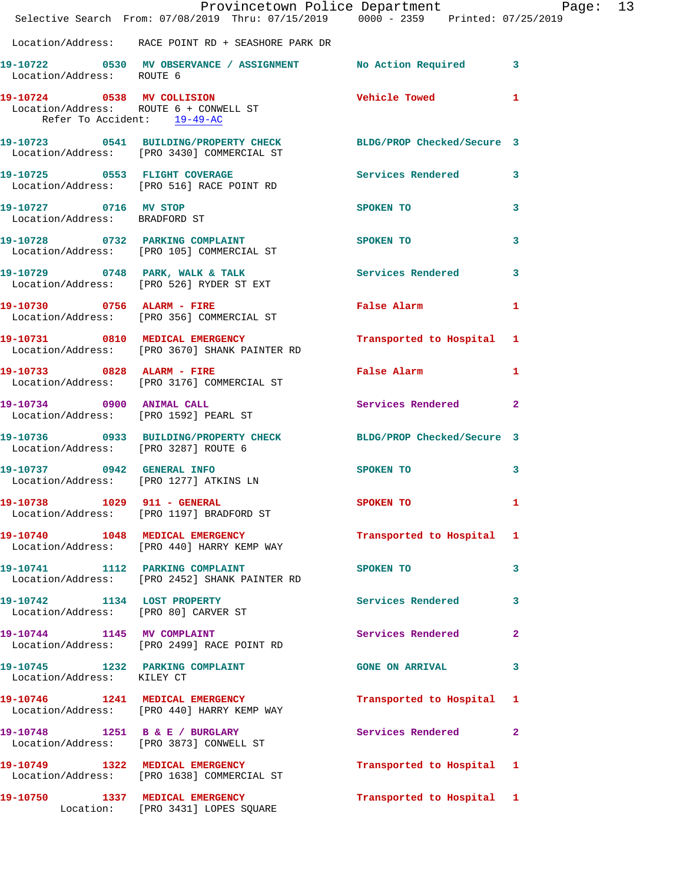|                                                        | Selective Search From: 07/08/2019 Thru: 07/15/2019   0000 - 2359   Printed: 07/25/2019                         | Provincetown Police Department                                                                                 | Page: 13       |  |
|--------------------------------------------------------|----------------------------------------------------------------------------------------------------------------|----------------------------------------------------------------------------------------------------------------|----------------|--|
|                                                        | Location/Address: RACE POINT RD + SEASHORE PARK DR                                                             |                                                                                                                |                |  |
| Location/Address: ROUTE 6                              | 19-10722 0530 MV OBSERVANCE / ASSIGNMENT No Action Required 3                                                  |                                                                                                                |                |  |
| Refer To Accident: 19-49-AC                            | 19-10724 0538 MV COLLISION<br>Location/Address: ROUTE 6 + CONWELL ST                                           | <b>Vehicle Towed</b>                                                                                           | 1              |  |
|                                                        | 19-10723 0541 BUILDING/PROPERTY CHECK BLDG/PROP Checked/Secure 3<br>Location/Address: [PRO 3430] COMMERCIAL ST |                                                                                                                |                |  |
|                                                        | 19-10725 0553 FLIGHT COVERAGE<br>Location/Address: [PRO 516] RACE POINT RD                                     | Services Rendered                                                                                              | 3              |  |
| 19-10727 0716 MV STOP<br>Location/Address: BRADFORD ST |                                                                                                                | SPOKEN TO                                                                                                      | 3              |  |
|                                                        | 19-10728 0732 PARKING COMPLAINT SPOKEN TO<br>Location/Address: [PRO 105] COMMERCIAL ST                         |                                                                                                                | 3              |  |
|                                                        | 19-10729 0748 PARK, WALK & TALK Services Rendered<br>Location/Address: [PRO 526] RYDER ST EXT                  |                                                                                                                | 3              |  |
|                                                        | 19-10730 0756 ALARM - FIRE<br>Location/Address: [PRO 356] COMMERCIAL ST                                        | <b>False Alarm</b>                                                                                             | 1              |  |
|                                                        | 19-10731 0810 MEDICAL EMERGENCY<br>Location/Address: [PRO 3670] SHANK PAINTER RD                               | Transported to Hospital 1                                                                                      |                |  |
| 19-10733 0828 ALARM - FIRE                             | Location/Address: [PRO 3176] COMMERCIAL ST                                                                     | False Alarm and the state of the state of the state of the state of the state of the state of the state of the | 1              |  |
|                                                        | 19-10734 0900 ANIMAL CALL<br>Location/Address: [PRO 1592] PEARL ST                                             | Services Rendered                                                                                              | 2              |  |
|                                                        | 19-10736 0933 BUILDING/PROPERTY CHECK BLDG/PROP Checked/Secure 3<br>Location/Address: [PRO 3287] ROUTE 6       |                                                                                                                |                |  |
|                                                        | 19-10737 0942 GENERAL INFO<br>Location/Address: [PRO 1277] ATKINS LN                                           | SPOKEN TO                                                                                                      | 3              |  |
|                                                        | 19-10738 1029 911 - GENERAL<br>Location/Address: [PRO 1197] BRADFORD ST                                        | <b>SPOKEN TO</b>                                                                                               |                |  |
|                                                        | 19-10740 1048 MEDICAL EMERGENCY<br>Location/Address: [PRO 440] HARRY KEMP WAY                                  | Transported to Hospital 1                                                                                      |                |  |
|                                                        | 19-10741 1112 PARKING COMPLAINT<br>Location/Address: [PRO 2452] SHANK PAINTER RD                               | SPOKEN TO                                                                                                      | 3              |  |
|                                                        | 19-10742 1134 LOST PROPERTY<br>Location/Address: [PRO 80] CARVER ST                                            | Services Rendered                                                                                              | 3              |  |
|                                                        | 19-10744 1145 MV COMPLAINT<br>Location/Address: [PRO 2499] RACE POINT RD                                       | <b>Services Rendered</b>                                                                                       | $\overline{a}$ |  |
| Location/Address: KILEY CT                             | 19-10745 1232 PARKING COMPLAINT                                                                                | <b>GONE ON ARRIVAL</b>                                                                                         | 3              |  |
|                                                        | 19-10746 1241 MEDICAL EMERGENCY<br>Location/Address: [PRO 440] HARRY KEMP WAY                                  | Transported to Hospital 1                                                                                      |                |  |
|                                                        | 19-10748 1251 B & E / BURGLARY<br>Location/Address: [PRO 3873] CONWELL ST                                      | Services Rendered                                                                                              | 2              |  |
|                                                        | 19-10749 1322 MEDICAL EMERGENCY<br>Location/Address: [PRO 1638] COMMERCIAL ST                                  | Transported to Hospital 1                                                                                      |                |  |
|                                                        | 19-10750 1337 MEDICAL EMERGENCY<br>Location: [PRO 3431] LOPES SQUARE                                           | Transported to Hospital 1                                                                                      |                |  |
|                                                        |                                                                                                                |                                                                                                                |                |  |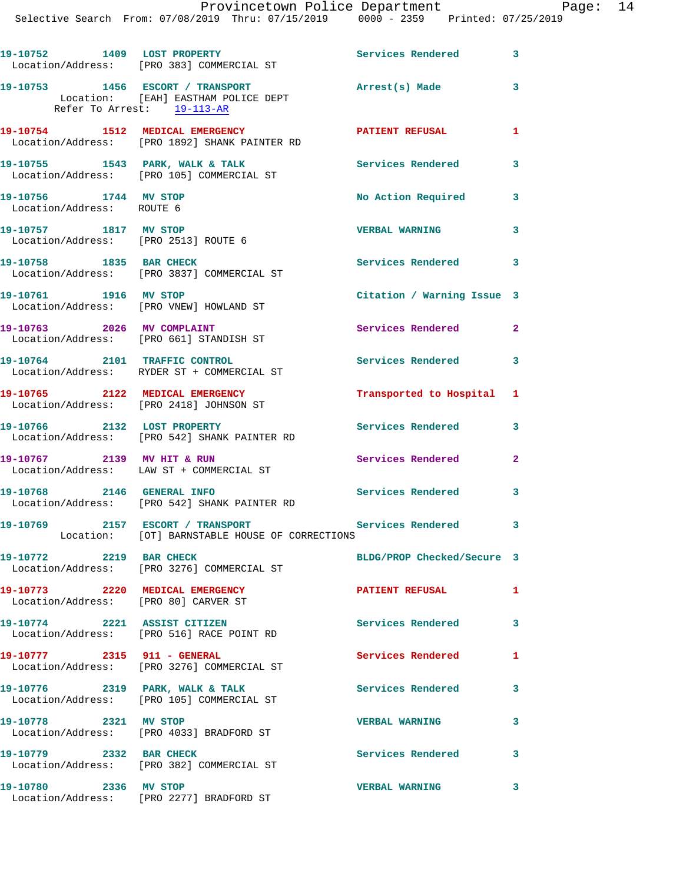|                                                                         | 19-10752 1409 LOST PROPERTY<br>Location/Address: [PRO 383] COMMERCIAL ST           | Services Rendered 3        |                         |
|-------------------------------------------------------------------------|------------------------------------------------------------------------------------|----------------------------|-------------------------|
| Refer To Arrest: 19-113-AR                                              | 19-10753 1456 ESCORT / TRANSPORT<br>Location: [EAH] EASTHAM POLICE DEPT            | Arrest(s) Made             | $\mathbf{3}$            |
|                                                                         | 19-10754 1512 MEDICAL EMERGENCY<br>Location/Address: [PRO 1892] SHANK PAINTER RD   | PATIENT REFUSAL            | $\mathbf{1}$            |
|                                                                         | 19-10755 1543 PARK, WALK & TALK<br>Location/Address: [PRO 105] COMMERCIAL ST       | <b>Services Rendered</b>   | 3                       |
| 19-10756 1744 MV STOP<br>Location/Address: ROUTE 6                      |                                                                                    | No Action Required         | 3                       |
| 19-10757 1817 MV STOP<br>Location/Address: [PRO 2513] ROUTE 6           |                                                                                    | <b>VERBAL WARNING</b>      | 3                       |
| 19-10758 1835 BAR CHECK                                                 | Location/Address: [PRO 3837] COMMERCIAL ST                                         | Services Rendered 3        |                         |
| 19-10761 1916 MV STOP                                                   | Location/Address: [PRO VNEW] HOWLAND ST                                            | Citation / Warning Issue 3 |                         |
| 19-10763 2026 MV COMPLAINT                                              | Location/Address: [PRO 661] STANDISH ST                                            | Services Rendered          | $\overline{2}$          |
|                                                                         | 19-10764 2101 TRAFFIC CONTROL<br>Location/Address: RYDER ST + COMMERCIAL ST        | Services Rendered          | $\mathbf{3}$            |
| 19-10765 2122 MEDICAL EMERGENCY                                         | Location/Address: [PRO 2418] JOHNSON ST                                            | Transported to Hospital 1  |                         |
|                                                                         | 19-10766 2132 LOST PROPERTY<br>Location/Address: [PRO 542] SHANK PAINTER RD        | Services Rendered          | 3                       |
|                                                                         | 19-10767 2139 MV HIT & RUN<br>Location/Address: LAW ST + COMMERCIAL ST             | Services Rendered          | $\mathbf{2}$            |
|                                                                         | 19-10768 2146 GENERAL INFO<br>Location/Address: [PRO 542] SHANK PAINTER RD         | <b>Services Rendered</b>   | $\overline{\mathbf{3}}$ |
|                                                                         | 19-10769 2157 ESCORT / TRANSPORT<br>Location: [OT] BARNSTABLE HOUSE OF CORRECTIONS | Services Rendered 3        |                         |
| 19-10772 2219 BAR CHECK                                                 | Location/Address: [PRO 3276] COMMERCIAL ST                                         | BLDG/PROP Checked/Secure 3 |                         |
| 19-10773 2220 MEDICAL EMERGENCY<br>Location/Address: [PRO 80] CARVER ST |                                                                                    | <b>PATIENT REFUSAL</b>     | $\mathbf{1}$            |
|                                                                         | 19-10774 2221 ASSIST CITIZEN<br>Location/Address: [PRO 516] RACE POINT RD          | <b>Services Rendered</b>   | 3                       |
| 19-10777 2315 911 - GENERAL                                             | Location/Address: [PRO 3276] COMMERCIAL ST                                         | Services Rendered          | 1                       |
|                                                                         | 19-10776 2319 PARK, WALK & TALK<br>Location/Address: [PRO 105] COMMERCIAL ST       | <b>Services Rendered</b>   | 3                       |
| 19-10778 2321 MV STOP                                                   | Location/Address: [PRO 4033] BRADFORD ST                                           | <b>VERBAL WARNING</b>      | 3                       |
| 19-10779 2332 BAR CHECK                                                 | Location/Address: [PRO 382] COMMERCIAL ST                                          | Services Rendered          | 3                       |
| 19-10780 2336 MV STOP                                                   | Location/Address: [PRO 2277] BRADFORD ST                                           | <b>VERBAL WARNING</b>      | 3                       |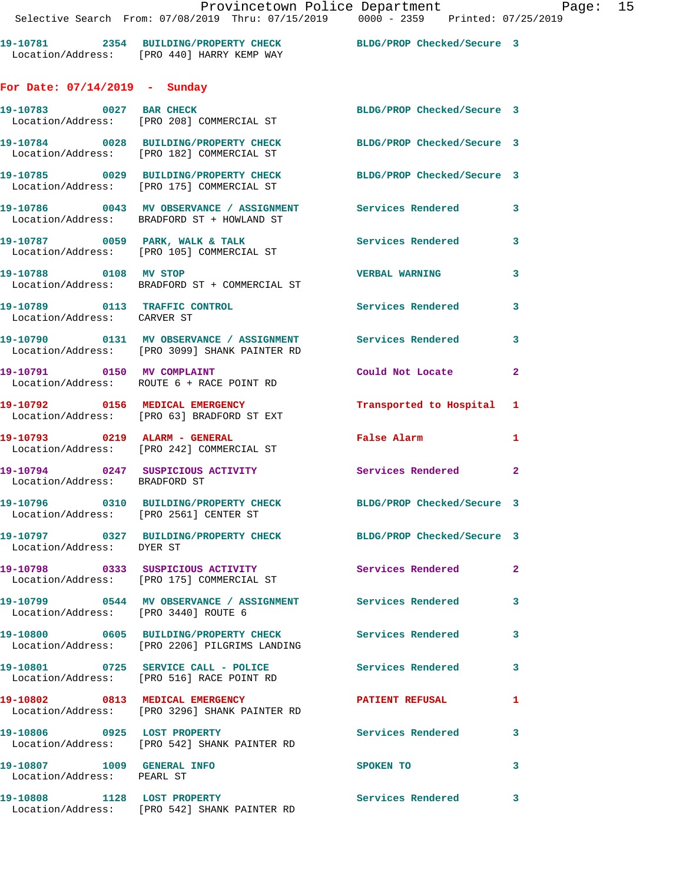**19-10781 2354 BUILDING/PROPERTY CHECK BLDG/PROP Checked/Secure 3**  Location/Address: [PRO 440] HARRY KEMP WAY **For Date: 07/14/2019 - Sunday 19-10783 0027 BAR CHECK BLDG/PROP Checked/Secure 3**  Location/Address: [PRO 208] COMMERCIAL ST **19-10784 0028 BUILDING/PROPERTY CHECK BLDG/PROP Checked/Secure 3**  Location/Address: [PRO 182] COMMERCIAL ST **19-10785 0029 BUILDING/PROPERTY CHECK BLDG/PROP Checked/Secure 3**  Location/Address: [PRO 175] COMMERCIAL ST **19-10786 0043 MV OBSERVANCE / ASSIGNMENT Services Rendered 3**  Location/Address: BRADFORD ST + HOWLAND ST 19-10787 **0059 PARK, WALK & TALK** Services Rendered 3 Location/Address: [PRO 105] COMMERCIAL ST **19-10788 0108 MV STOP VERBAL WARNING 3**  Location/Address: BRADFORD ST + COMMERCIAL ST **19-10789 0113 TRAFFIC CONTROL Services Rendered 3**  Location/Address: CARVER ST **19-10790 0131 MV OBSERVANCE / ASSIGNMENT Services Rendered 3**  Location/Address: [PRO 3099] SHANK PAINTER RD **19-10791 0150 MV COMPLAINT Could Not Locate 2**  Location/Address: ROUTE 6 + RACE POINT RD **19-10792 0156 MEDICAL EMERGENCY Transported to Hospital 1**  Location/Address: [PRO 63] BRADFORD ST EXT **19-10793 0219 ALARM - GENERAL False Alarm 1**  Location/Address: [PRO 242] COMMERCIAL ST **19-10794 0247 SUSPICIOUS ACTIVITY Services Rendered 2**  Location/Address: BRADFORD ST **19-10796 0310 BUILDING/PROPERTY CHECK BLDG/PROP Checked/Secure 3**  Location/Address: [PRO 2561] CENTER ST **19-10797 0327 BUILDING/PROPERTY CHECK BLDG/PROP Checked/Secure 3**  Location/Address: DYER ST **19-10798 0333 SUSPICIOUS ACTIVITY Services Rendered 2**  Location/Address: [PRO 175] COMMERCIAL ST **19-10799 0544 MV OBSERVANCE / ASSIGNMENT Services Rendered 3**  Location/Address: [PRO 3440] ROUTE 6 **19-10800 0605 BUILDING/PROPERTY CHECK Services Rendered 3**  Location/Address: [PRO 2206] PILGRIMS LANDING 19-10801 0725 SERVICE CALL - POLICE 3 Services Rendered 3 Location/Address: [PRO 516] RACE POINT RD **19-10802 0813 MEDICAL EMERGENCY PATIENT REFUSAL 1**  Location/Address: [PRO 3296] SHANK PAINTER RD **19-10806 0925 LOST PROPERTY Services Rendered 3**  Location/Address: [PRO 542] SHANK PAINTER RD **19-10807 1009 GENERAL INFO SPOKEN TO 3**  Location/Address: PEARL ST **19-10808 1128 LOST PROPERTY Services Rendered 3**  Location/Address: [PRO 542] SHANK PAINTER RD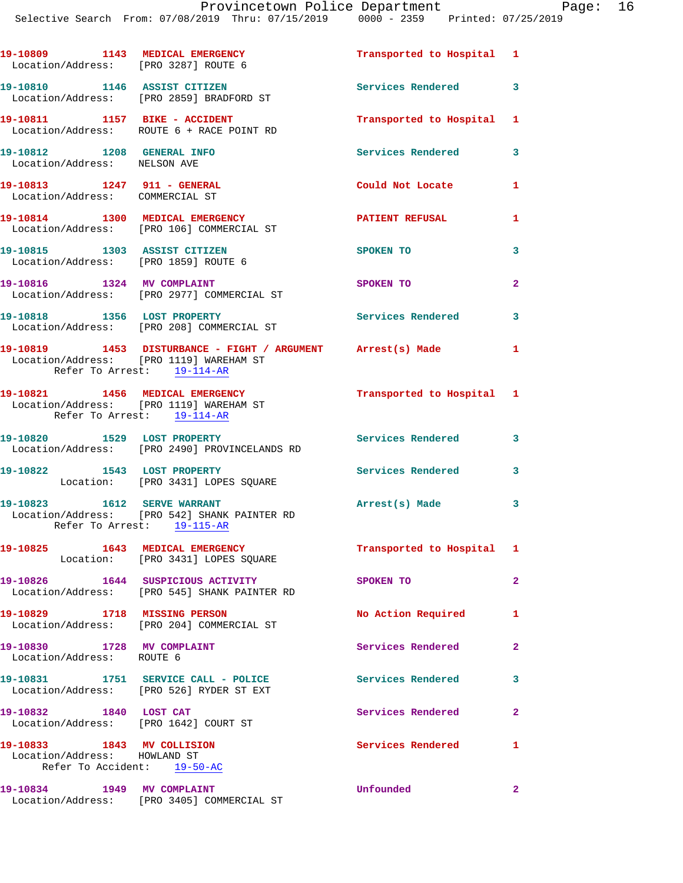| 19-10809 1143 MEDICAL EMERGENCY<br>Location/Address: [PRO 3287] ROUTE 6 |                                                                                                           | Transported to Hospital   | 1            |
|-------------------------------------------------------------------------|-----------------------------------------------------------------------------------------------------------|---------------------------|--------------|
|                                                                         | 19-10810 1146 ASSIST CITIZEN<br>Location/Address: [PRO 2859] BRADFORD ST                                  | Services Rendered         | 3            |
|                                                                         | 19-10811 1157 BIKE - ACCIDENT<br>Location/Address: ROUTE 6 + RACE POINT RD                                | Transported to Hospital   | 1            |
| 19-10812 1208 GENERAL INFO<br>Location/Address: NELSON AVE              |                                                                                                           | Services Rendered         | 3            |
| Location/Address: COMMERCIAL ST                                         |                                                                                                           | Could Not Locate          | 1            |
|                                                                         | 19-10814 1300 MEDICAL EMERGENCY<br>Location/Address: [PRO 106] COMMERCIAL ST                              | <b>PATIENT REFUSAL</b>    | 1            |
| 19-10815 1303 ASSIST CITIZEN<br>Location/Address: [PRO 1859] ROUTE 6    |                                                                                                           | SPOKEN TO                 | 3            |
| 19-10816 1324 MV COMPLAINT                                              | Location/Address: [PRO 2977] COMMERCIAL ST                                                                | SPOKEN TO                 | $\mathbf{2}$ |
|                                                                         | 19-10818 1356 LOST PROPERTY<br>Location/Address: [PRO 208] COMMERCIAL ST                                  | Services Rendered         | 3            |
| Refer To Arrest: 19-114-AR                                              | 19-10819 1453 DISTURBANCE - FIGHT / ARGUMENT Arrest(s) Made<br>Location/Address: [PRO 1119] WAREHAM ST    |                           | 1            |
| Refer To Arrest: 19-114-AR                                              | 19-10821 1456 MEDICAL EMERGENCY<br>Location/Address: [PRO 1119] WAREHAM ST                                | Transported to Hospital 1 |              |
|                                                                         | 19-10820 1529 LOST PROPERTY<br>Location/Address: [PRO 2490] PROVINCELANDS RD                              | <b>Services Rendered</b>  | 3            |
| 19-10822 1543 LOST PROPERTY                                             | Location: [PRO 3431] LOPES SQUARE                                                                         | <b>Services Rendered</b>  | 3            |
|                                                                         | 19-10823 1612 SERVE WARRANT<br>Location/Address: [PRO 542] SHANK PAINTER RD<br>Refer To Arrest: 19-115-AR | Arrest(s) Made            | 3            |
| 19-10825  1643  MEDICAL EMERGENCY                                       | Location: [PRO 3431] LOPES SQUARE                                                                         | Transported to Hospital   | 1            |
|                                                                         | 19-10826 1644 SUSPICIOUS ACTIVITY<br>Location/Address: [PRO 545] SHANK PAINTER RD                         | SPOKEN TO                 | 2            |
|                                                                         |                                                                                                           |                           |              |

**19-10829 1718 MISSING PERSON No Action Required 1**  Location/Address: [PRO 204] COMMERCIAL ST **19-10830 1728 MV COMPLAINT Services Rendered 2**  Location/Address: ROUTE 6 **19-10831 1751 SERVICE CALL - POLICE Services Rendered 3**  Location/Address: [PRO 526] RYDER ST EXT **19-10832 1840 LOST CAT Services Rendered 2**  Location/Address: [PRO 1642] COURT ST **1** Services Rendered 1 19-10833 1843 MV COLLISION<br>Location/Address: HOWLAND ST Refer To Accident: 19-50-AC **19-10834 1949 MV COMPLAINT Unfounded 2**  Location/Address: [PRO 3405] COMMERCIAL ST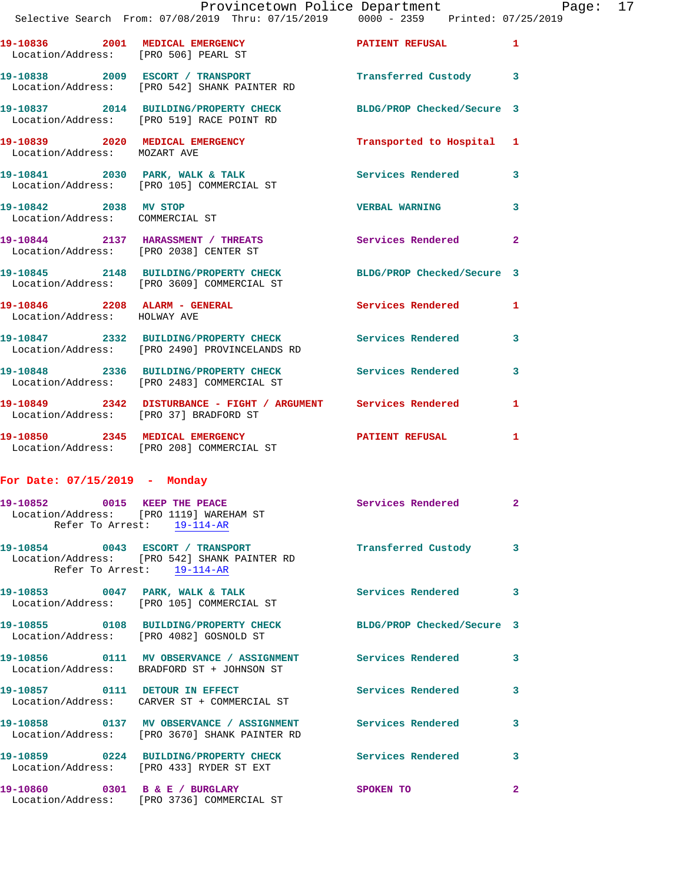| 19-10846  2208  ALARM - GENERAL                                         |                                                                                                                | Services Rendered         | 1              |
|-------------------------------------------------------------------------|----------------------------------------------------------------------------------------------------------------|---------------------------|----------------|
|                                                                         | 19-10845 2148 BUILDING/PROPERTY CHECK BLDG/PROP Checked/Secure 3<br>Location/Address: [PRO 3609] COMMERCIAL ST |                           |                |
|                                                                         | 19-10844 2137 HARASSMENT / THREATS<br>Location/Address: [PRO 2038] CENTER ST                                   | Services Rendered         | $\overline{2}$ |
| 19-10842 2038 MV STOP<br>Location/Address: COMMERCIAL ST                |                                                                                                                | <b>VERBAL WARNING</b>     | $\mathbf{3}$   |
|                                                                         | 19-10841 2030 PARK, WALK & TALK<br>Location/Address: [PRO 105] COMMERCIAL ST                                   | <b>Services Rendered</b>  | 3              |
| 19-10839 2020 MEDICAL EMERGENCY<br>Location/Address: MOZART AVE         |                                                                                                                | Transported to Hospital 1 |                |
|                                                                         | 19-10837 2014 BUILDING/PROPERTY CHECK BLDG/PROP Checked/Secure 3<br>Location/Address: [PRO 519] RACE POINT RD  |                           |                |
|                                                                         | 19-10838 2009 ESCORT / TRANSPORT<br>Location/Address: [PRO 542] SHANK PAINTER RD                               | Transferred Custody       | $\mathbf{3}$   |
| 19-10836 2001 MEDICAL EMERGENCY<br>Location/Address: [PRO 506] PEARL ST |                                                                                                                | <b>PATIENT REFUSAL</b>    | $\mathbf{1}$   |
|                                                                         |                                                                                                                |                           |                |

 Location/Address: HOLWAY AVE **19-10847 2332 BUILDING/PROPERTY CHECK Services Rendered 3**  Location/Address: [PRO 2490] PROVINCELANDS RD

**19-10848 2336 BUILDING/PROPERTY CHECK Services Rendered 3**  Location/Address: [PRO 2483] COMMERCIAL ST **19-10849 2342 DISTURBANCE - FIGHT / ARGUMENT Services Rendered 1**  Location/Address: [PRO 37] BRADFORD ST

**19-10850 2345 MEDICAL EMERGENCY PATIENT REFUSAL 1**  Location/Address: [PRO 208] COMMERCIAL ST

## **For Date: 07/15/2019 - Monday**

| 19-10852 0015 KEEP THE PEACE     | Location/Address: [PRO 1119] WAREHAM ST<br>Refer To Arrest: 19-114-AR                                        | Services Rendered 2        |                         |
|----------------------------------|--------------------------------------------------------------------------------------------------------------|----------------------------|-------------------------|
| 19-10854 0043 ESCORT / TRANSPORT | Location/Address: [PRO 542] SHANK PAINTER RD<br>Refer To Arrest: 19-114-AR                                   | Transferred Custody 3      |                         |
|                                  | 19-10853 0047 PARK, WALK & TALK<br>Location/Address: [PRO 105] COMMERCIAL ST                                 | <b>Services Rendered</b> 3 |                         |
|                                  | 19-10855 0108 BUILDING/PROPERTY CHECK BLDG/PROP Checked/Secure 3<br>Location/Address: [PRO 4082] GOSNOLD ST  |                            |                         |
|                                  | 19-10856   0111 MV OBSERVANCE / ASSIGNMENT   Services Rendered<br>Location/Address: BRADFORD ST + JOHNSON ST |                            | $\mathbf{3}$            |
|                                  | 19-10857 0111 DETOUR IN EFFECT<br>Location/Address: CARVER ST + COMMERCIAL ST                                | <b>Services Rendered</b>   | $\overline{\mathbf{3}}$ |
|                                  | Location/Address: [PRO 3670] SHANK PAINTER RD                                                                |                            | $\mathbf{3}$            |
|                                  | 19-10859 0224 BUILDING/PROPERTY CHECK Services Rendered<br>Location/Address: [PRO 433] RYDER ST EXT          |                            | $\mathbf{3}$            |
| 19-10860 0301 B & E / BURGLARY   | Location/Address: [PRO 3736] COMMERCIAL ST                                                                   | SPOKEN TO                  | $\overline{2}$          |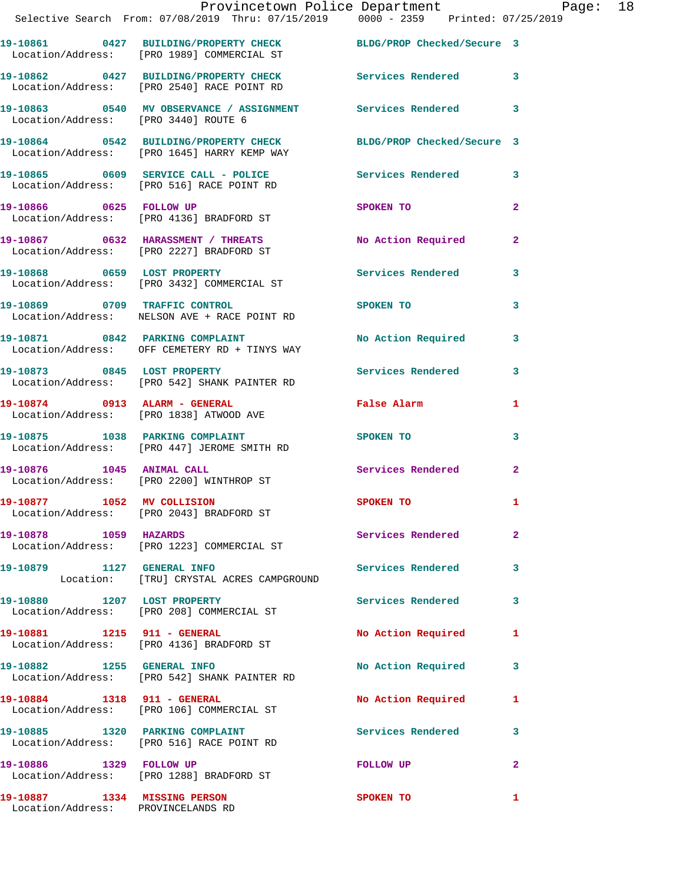|                                      | Provincetown Police Department Page: 18<br>Selective Search From: 07/08/2019 Thru: 07/15/2019   0000 - 2359   Printed: 07/25/2019 |                   |                         |
|--------------------------------------|-----------------------------------------------------------------------------------------------------------------------------------|-------------------|-------------------------|
|                                      | 19-10861 0427 BUILDING/PROPERTY CHECK BLDG/PROP Checked/Secure 3<br>Location/Address: [PRO 1989] COMMERCIAL ST                    |                   |                         |
|                                      | 19-10862 0427 BUILDING/PROPERTY CHECK Services Rendered 3<br>Location/Address: [PRO 2540] RACE POINT RD                           |                   |                         |
| Location/Address: [PRO 3440] ROUTE 6 | 19-10863 0540 MV OBSERVANCE / ASSIGNMENT Services Rendered 3                                                                      |                   |                         |
|                                      | 19-10864 0542 BUILDING/PROPERTY CHECK BLDG/PROP Checked/Secure 3<br>Location/Address: [PRO 1645] HARRY KEMP WAY                   |                   |                         |
|                                      | 19-10865 0609 SERVICE CALL - POLICE 3 Services Rendered 3<br>Location/Address: [PRO 516] RACE POINT RD                            |                   |                         |
|                                      | 19-10866 0625 FOLLOW UP<br>Location/Address: [PRO 4136] BRADFORD ST                                                               | SPOKEN TO         | $\overline{2}$          |
|                                      | 19-10867 0632 HARASSMENT / THREATS No Action Required<br>Location/Address: [PRO 2227] BRADFORD ST                                 |                   | $\mathbf{2}$            |
|                                      | 19-10868 0659 LOST PROPERTY<br>Location/Address: [PRO 3432] COMMERCIAL ST                                                         | Services Rendered | $\overline{\mathbf{3}}$ |
|                                      | 19-10869 0709 TRAFFIC CONTROL<br>Location/Address: NELSON AVE + RACE POINT RD                                                     | SPOKEN TO         | 3                       |
|                                      | 19-10871 0842 PARKING COMPLAINT NO No Action Required<br>Location/Address: OFF CEMETERY RD + TINYS WAY                            |                   | $\mathbf{3}$            |
|                                      | 19-10873 0845 LOST PROPERTY<br>Location/Address: [PRO 542] SHANK PAINTER RD                                                       | Services Rendered | $\overline{\mathbf{3}}$ |

**19-10874 0913 ALARM - GENERAL False Alarm 1**  Location/Address: [PRO 1838] ATWOOD AVE

Location/Address: [PRO 1223] COMMERCIAL ST

Location/Address: [PRO 208] COMMERCIAL ST

Location/Address: [PRO 4136] BRADFORD ST

Location/Address: [PRO 516] RACE POINT RD

Location/Address: [PRO 1288] BRADFORD ST

19-10875 1038 PARKING COMPLAINT SPOKEN TO 3 Location/Address: [PRO 447] JEROME SMITH RD

**19-10876 1045 ANIMAL CALL Services Rendered 2**  Location/Address: [PRO 2200] WINTHROP ST

**19-10877 1052 MV COLLISION SPOKEN TO 1**  Location/Address: [PRO 2043] BRADFORD ST

**19-10878 1059 HAZARDS Services Rendered 2** 

**19-10879 1127 GENERAL INFO Services Rendered 3**  Location: [TRU] CRYSTAL ACRES CAMPGROUND

19-10880 1207 LOST PROPERTY **19-10880** Services Rendered 3

19-10881 1215 911 - GENERAL 1200 No Action Required 1

19-10882 1255 GENERAL INFO **No Action Required** 3 Location/Address: [PRO 542] SHANK PAINTER RD

19-10884 1318 911 - GENERAL No Action Required 1 Location/Address: [PRO 106] COMMERCIAL ST

**19-10885 1320 PARKING COMPLAINT Services Rendered 3** 

**19-10886 1329 FOLLOW UP FOLLOW UP 2** 

Location/Address: PROVINCELANDS RD

**19-10887 1334 MISSING PERSON SPOKEN TO 1**